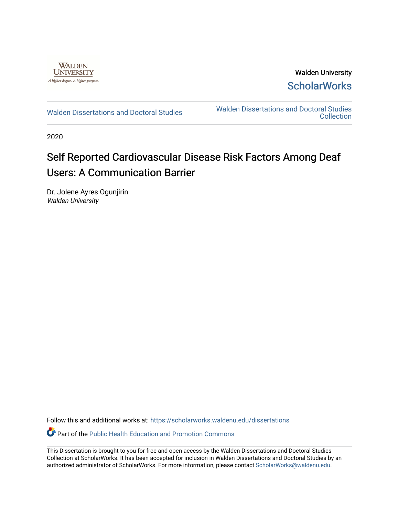

Walden University **ScholarWorks** 

[Walden Dissertations and Doctoral Studies](https://scholarworks.waldenu.edu/dissertations) Walden Dissertations and Doctoral Studies **Collection** 

2020

# Self Reported Cardiovascular Disease Risk Factors Among Deaf Users: A Communication Barrier

Dr. Jolene Ayres Ogunjirin Walden University

Follow this and additional works at: [https://scholarworks.waldenu.edu/dissertations](https://scholarworks.waldenu.edu/dissertations?utm_source=scholarworks.waldenu.edu%2Fdissertations%2F8412&utm_medium=PDF&utm_campaign=PDFCoverPages)

Part of the [Public Health Education and Promotion Commons](http://network.bepress.com/hgg/discipline/743?utm_source=scholarworks.waldenu.edu%2Fdissertations%2F8412&utm_medium=PDF&utm_campaign=PDFCoverPages) 

This Dissertation is brought to you for free and open access by the Walden Dissertations and Doctoral Studies Collection at ScholarWorks. It has been accepted for inclusion in Walden Dissertations and Doctoral Studies by an authorized administrator of ScholarWorks. For more information, please contact [ScholarWorks@waldenu.edu](mailto:ScholarWorks@waldenu.edu).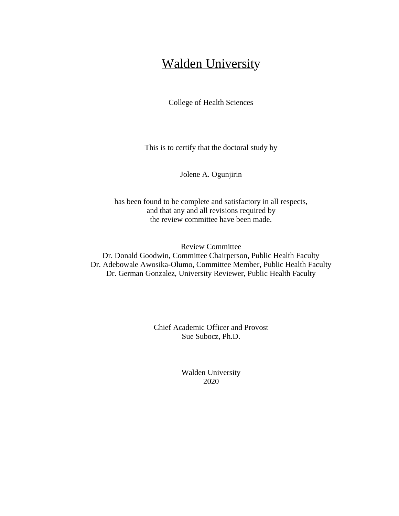# Walden University

College of Health Sciences

This is to certify that the doctoral study by

Jolene A. Ogunjirin

has been found to be complete and satisfactory in all respects, and that any and all revisions required by the review committee have been made.

Review Committee Dr. Donald Goodwin, Committee Chairperson, Public Health Faculty Dr. Adebowale Awosika-Olumo, Committee Member, Public Health Faculty Dr. German Gonzalez, University Reviewer, Public Health Faculty

> Chief Academic Officer and Provost Sue Subocz, Ph.D.

> > Walden University 2020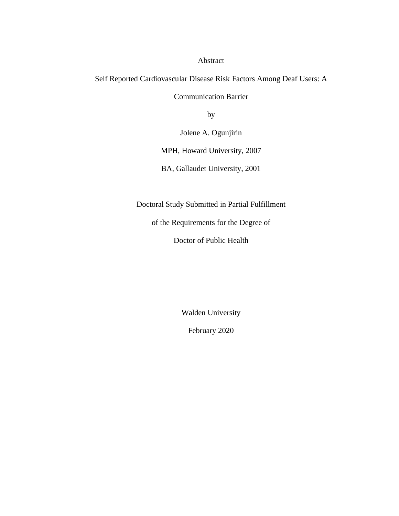Abstract

Self Reported Cardiovascular Disease Risk Factors Among Deaf Users: A

Communication Barrier

by

Jolene A. Ogunjirin

MPH, Howard University, 2007

BA, Gallaudet University, 2001

Doctoral Study Submitted in Partial Fulfillment

of the Requirements for the Degree of

Doctor of Public Health

Walden University

February 2020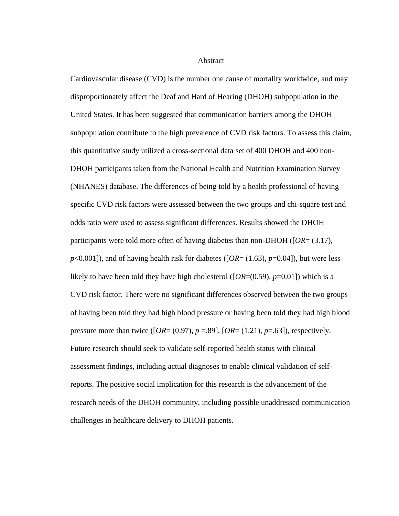Abstract

Cardiovascular disease (CVD) is the number one cause of mortality worldwide, and may disproportionately affect the Deaf and Hard of Hearing (DHOH) subpopulation in the United States. It has been suggested that communication barriers among the DHOH subpopulation contribute to the high prevalence of CVD risk factors. To assess this claim, this quantitative study utilized a cross-sectional data set of 400 DHOH and 400 non-DHOH participants taken from the National Health and Nutrition Examination Survey (NHANES) database. The differences of being told by a health professional of having specific CVD risk factors were assessed between the two groups and chi-square test and odds ratio were used to assess significant differences. Results showed the DHOH participants were told more often of having diabetes than non-DHOH ([*OR*= (3.17),  $p<0.001$ ]), and of having health risk for diabetes ( $[OR=(1.63), p=0.04]$ ), but were less likely to have been told they have high cholesterol ( $[OR=(0.59), p=0.01]$ ) which is a CVD risk factor. There were no significant differences observed between the two groups of having been told they had high blood pressure or having been told they had high blood pressure more than twice ( $[OR=(0.97), p=.89]$ ,  $[OR=(1.21), p=.63]$ ), respectively. Future research should seek to validate self-reported health status with clinical assessment findings, including actual diagnoses to enable clinical validation of selfreports. The positive social implication for this research is the advancement of the research needs of the DHOH community, including possible unaddressed communication challenges in healthcare delivery to DHOH patients.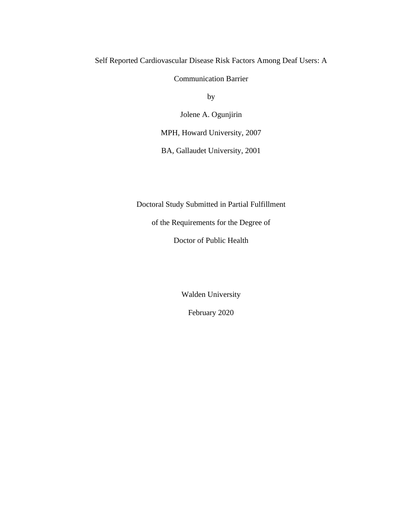Self Reported Cardiovascular Disease Risk Factors Among Deaf Users: A

Communication Barrier

by

Jolene A. Ogunjirin

MPH, Howard University, 2007

BA, Gallaudet University, 2001

Doctoral Study Submitted in Partial Fulfillment

of the Requirements for the Degree of

Doctor of Public Health

Walden University

February 2020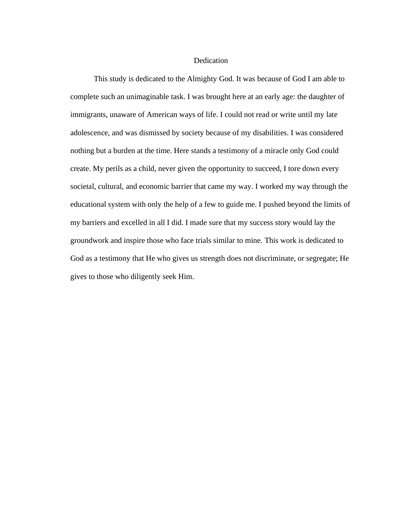### **Dedication**

This study is dedicated to the Almighty God. It was because of God I am able to complete such an unimaginable task. I was brought here at an early age: the daughter of immigrants, unaware of American ways of life. I could not read or write until my late adolescence, and was dismissed by society because of my disabilities. I was considered nothing but a burden at the time. Here stands a testimony of a miracle only God could create. My perils as a child, never given the opportunity to succeed, I tore down every societal, cultural, and economic barrier that came my way. I worked my way through the educational system with only the help of a few to guide me. I pushed beyond the limits of my barriers and excelled in all I did. I made sure that my success story would lay the groundwork and inspire those who face trials similar to mine. This work is dedicated to God as a testimony that He who gives us strength does not discriminate, or segregate; He gives to those who diligently seek Him.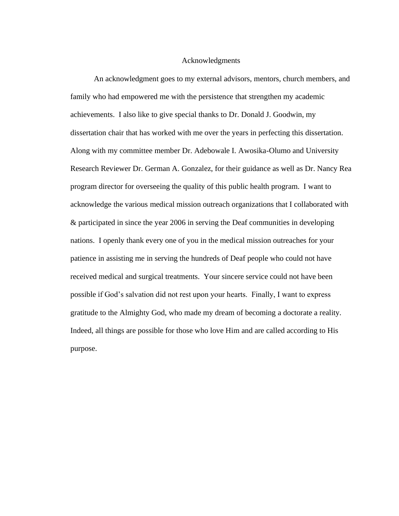# Acknowledgments

An acknowledgment goes to my external advisors, mentors, church members, and family who had empowered me with the persistence that strengthen my academic achievements. I also like to give special thanks to Dr. Donald J. Goodwin, my dissertation chair that has worked with me over the years in perfecting this dissertation. Along with my committee member Dr. Adebowale I. Awosika-Olumo and University Research Reviewer Dr. German A. Gonzalez, for their guidance as well as Dr. Nancy Rea program director for overseeing the quality of this public health program. I want to acknowledge the various medical mission outreach organizations that I collaborated with & participated in since the year 2006 in serving the Deaf communities in developing nations. I openly thank every one of you in the medical mission outreaches for your patience in assisting me in serving the hundreds of Deaf people who could not have received medical and surgical treatments. Your sincere service could not have been possible if God's salvation did not rest upon your hearts. Finally, I want to express gratitude to the Almighty God, who made my dream of becoming a doctorate a reality. Indeed, all things are possible for those who love Him and are called according to His purpose.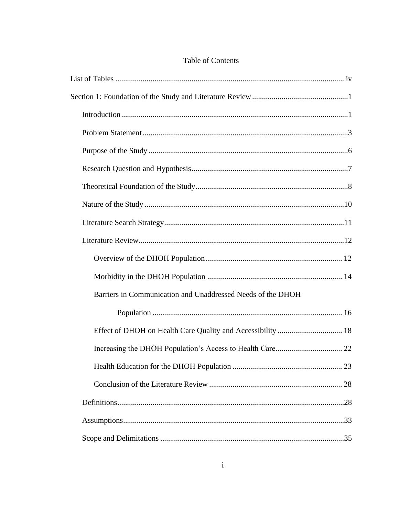| Barriers in Communication and Unaddressed Needs of the DHOH |
|-------------------------------------------------------------|
|                                                             |
|                                                             |
|                                                             |
|                                                             |
|                                                             |
|                                                             |
|                                                             |

# Table of Contents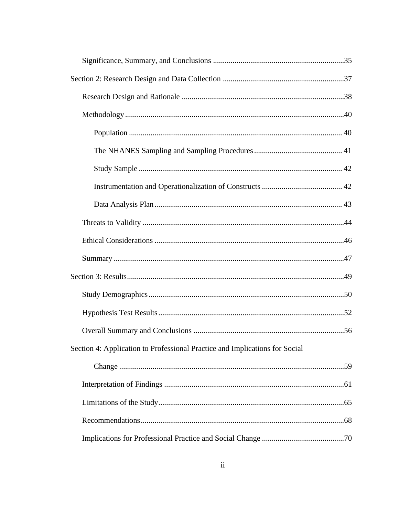| Section 4: Application to Professional Practice and Implications for Social |  |
|-----------------------------------------------------------------------------|--|
|                                                                             |  |
|                                                                             |  |
|                                                                             |  |
|                                                                             |  |
|                                                                             |  |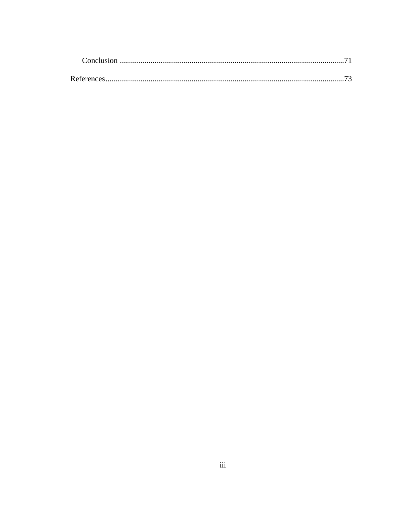| Conclusion |  |
|------------|--|
|            |  |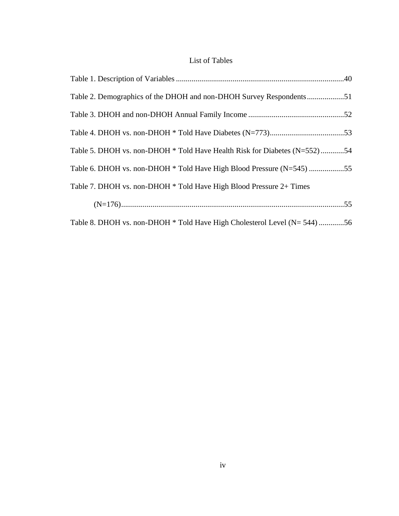# List of Tables

| Table 2. Demographics of the DHOH and non-DHOH Survey Respondents51       |  |
|---------------------------------------------------------------------------|--|
|                                                                           |  |
|                                                                           |  |
| Table 5. DHOH vs. non-DHOH * Told Have Health Risk for Diabetes (N=552)54 |  |
| Table 6. DHOH vs. non-DHOH * Told Have High Blood Pressure (N=545) 55     |  |
| Table 7. DHOH vs. non-DHOH * Told Have High Blood Pressure 2+ Times       |  |
|                                                                           |  |
| Table 8. DHOH vs. non-DHOH * Told Have High Cholesterol Level (N= 544) 56 |  |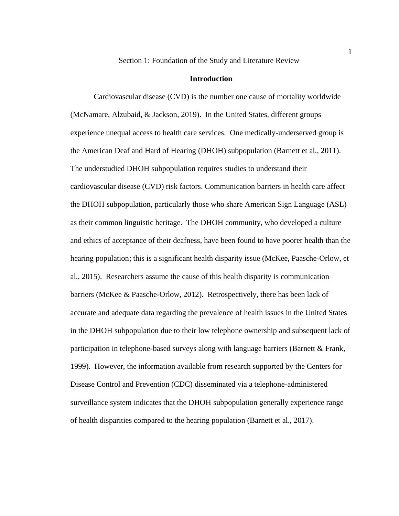#### **Introduction**

Cardiovascular disease (CVD) is the number one cause of mortality worldwide (McNamare, Alzubaid, & Jackson, 2019). In the United States, different groups experience unequal access to health care services. One medically-underserved group is the American Deaf and Hard of Hearing (DHOH) subpopulation (Barnett et al., 2011). The understudied DHOH subpopulation requires studies to understand their cardiovascular disease (CVD) risk factors. Communication barriers in health care affect the DHOH subpopulation, particularly those who share American Sign Language (ASL) as their common linguistic heritage. The DHOH community, who developed a culture and ethics of acceptance of their deafness, have been found to have poorer health than the hearing population; this is a significant health disparity issue (McKee, Paasche-Orlow, et al., 2015). Researchers assume the cause of this health disparity is communication barriers (McKee & Paasche-Orlow, 2012). Retrospectively, there has been lack of accurate and adequate data regarding the prevalence of health issues in the United States in the DHOH subpopulation due to their low telephone ownership and subsequent lack of participation in telephone-based surveys along with language barriers (Barnett & Frank, 1999). However, the information available from research supported by the Centers for Disease Control and Prevention (CDC) disseminated via a telephone-administered surveillance system indicates that the DHOH subpopulation generally experience range of health disparities compared to the hearing population (Barnett et al., 2017).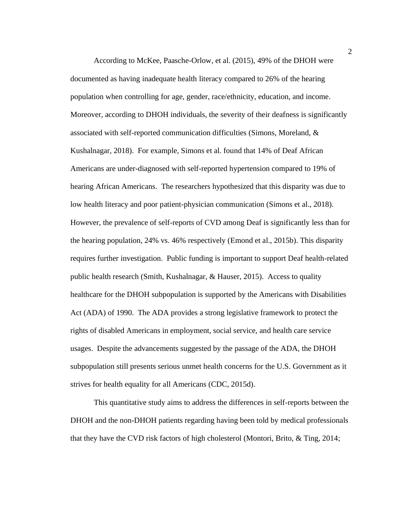According to McKee, Paasche-Orlow, et al. (2015), 49% of the DHOH were documented as having inadequate health literacy compared to 26% of the hearing population when controlling for age, gender, race/ethnicity, education, and income. Moreover, according to DHOH individuals, the severity of their deafness is significantly associated with self-reported communication difficulties (Simons, Moreland, & Kushalnagar, 2018). For example, Simons et al. found that 14% of Deaf African Americans are under-diagnosed with self-reported hypertension compared to 19% of hearing African Americans. The researchers hypothesized that this disparity was due to low health literacy and poor patient-physician communication (Simons et al., 2018). However, the prevalence of self-reports of CVD among Deaf is significantly less than for the hearing population, 24% vs. 46% respectively (Emond et al., 2015b). This disparity requires further investigation. Public funding is important to support Deaf health-related public health research (Smith, Kushalnagar, & Hauser, 2015). Access to quality healthcare for the DHOH subpopulation is supported by the Americans with Disabilities Act (ADA) of 1990. The ADA provides a strong legislative framework to protect the rights of disabled Americans in employment, social service, and health care service usages. Despite the advancements suggested by the passage of the ADA, the DHOH subpopulation still presents serious unmet health concerns for the U.S. Government as it strives for health equality for all Americans (CDC, 2015d).

This quantitative study aims to address the differences in self-reports between the DHOH and the non-DHOH patients regarding having been told by medical professionals that they have the CVD risk factors of high cholesterol (Montori, Brito, & Ting, 2014;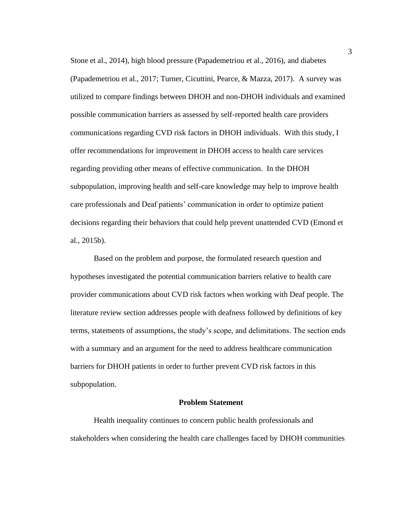Stone et al., 2014), high blood pressure (Papademetriou et al., 2016), and diabetes (Papademetriou et al., 2017; Turner, Cicuttini, Pearce, & Mazza, 2017). A survey was utilized to compare findings between DHOH and non-DHOH individuals and examined possible communication barriers as assessed by self-reported health care providers communications regarding CVD risk factors in DHOH individuals. With this study, I offer recommendations for improvement in DHOH access to health care services regarding providing other means of effective communication. In the DHOH subpopulation, improving health and self-care knowledge may help to improve health care professionals and Deaf patients' communication in order to optimize patient decisions regarding their behaviors that could help prevent unattended CVD (Emond et al., 2015b).

Based on the problem and purpose, the formulated research question and hypotheses investigated the potential communication barriers relative to health care provider communications about CVD risk factors when working with Deaf people. The literature review section addresses people with deafness followed by definitions of key terms, statements of assumptions, the study's scope, and delimitations. The section ends with a summary and an argument for the need to address healthcare communication barriers for DHOH patients in order to further prevent CVD risk factors in this subpopulation.

### **Problem Statement**

Health inequality continues to concern public health professionals and stakeholders when considering the health care challenges faced by DHOH communities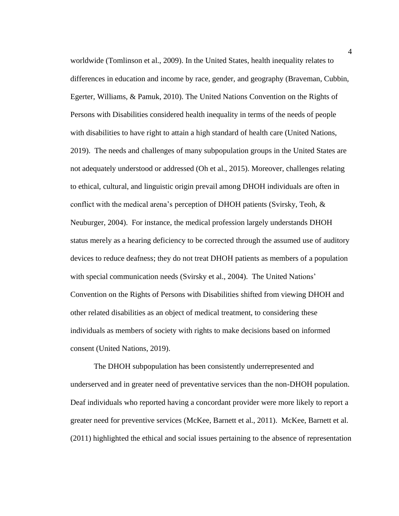worldwide (Tomlinson et al., 2009). In the United States, health inequality relates to differences in education and income by race, gender, and geography (Braveman, Cubbin, Egerter, Williams, & Pamuk, 2010). The United Nations Convention on the Rights of Persons with Disabilities considered health inequality in terms of the needs of people with disabilities to have right to attain a high standard of health care (United Nations, 2019). The needs and challenges of many subpopulation groups in the United States are not adequately understood or addressed (Oh et al., 2015). Moreover, challenges relating to ethical, cultural, and linguistic origin prevail among DHOH individuals are often in conflict with the medical arena's perception of DHOH patients (Svirsky, Teoh, & Neuburger, 2004). For instance, the medical profession largely understands DHOH status merely as a hearing deficiency to be corrected through the assumed use of auditory devices to reduce deafness; they do not treat DHOH patients as members of a population with special communication needs (Svirsky et al., 2004). The United Nations' Convention on the Rights of Persons with Disabilities shifted from viewing DHOH and other related disabilities as an object of medical treatment, to considering these individuals as members of society with rights to make decisions based on informed consent (United Nations, 2019).

The DHOH subpopulation has been consistently underrepresented and underserved and in greater need of preventative services than the non-DHOH population. Deaf individuals who reported having a concordant provider were more likely to report a greater need for preventive services (McKee, Barnett et al., 2011). McKee, Barnett et al. (2011) highlighted the ethical and social issues pertaining to the absence of representation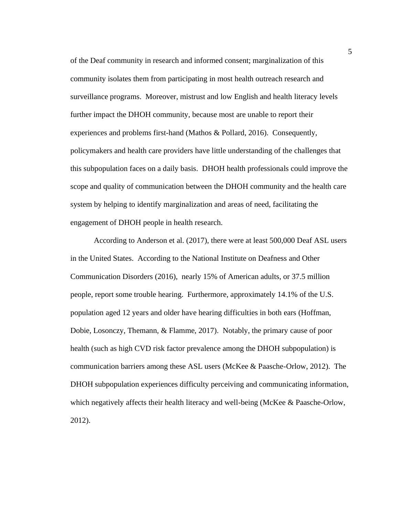of the Deaf community in research and informed consent; marginalization of this community isolates them from participating in most health outreach research and surveillance programs. Moreover, mistrust and low English and health literacy levels further impact the DHOH community, because most are unable to report their experiences and problems first-hand (Mathos & Pollard, 2016). Consequently, policymakers and health care providers have little understanding of the challenges that this subpopulation faces on a daily basis. DHOH health professionals could improve the scope and quality of communication between the DHOH community and the health care system by helping to identify marginalization and areas of need, facilitating the engagement of DHOH people in health research.

According to Anderson et al. (2017), there were at least 500,000 Deaf ASL users in the United States. According to the National Institute on Deafness and Other Communication Disorders (2016), nearly 15% of American adults, or 37.5 million people, report some trouble hearing. Furthermore, approximately 14.1% of the U.S. population aged 12 years and older have hearing difficulties in both ears (Hoffman, Dobie, Losonczy, Themann, & Flamme, 2017). Notably, the primary cause of poor health (such as high CVD risk factor prevalence among the DHOH subpopulation) is communication barriers among these ASL users (McKee & Paasche-Orlow, 2012). The DHOH subpopulation experiences difficulty perceiving and communicating information, which negatively affects their health literacy and well-being (McKee & Paasche-Orlow, 2012).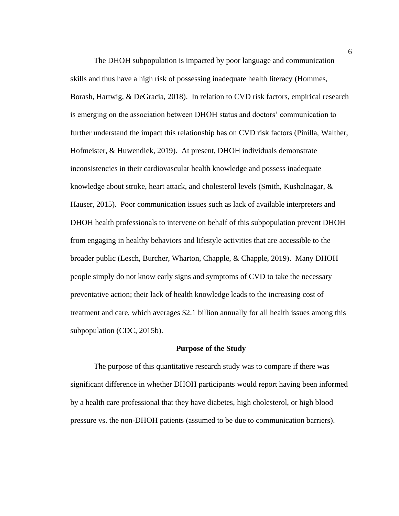The DHOH subpopulation is impacted by poor language and communication skills and thus have a high risk of possessing inadequate health literacy (Hommes, Borash, Hartwig, & DeGracia, 2018). In relation to CVD risk factors, empirical research is emerging on the association between DHOH status and doctors' communication to further understand the impact this relationship has on CVD risk factors (Pinilla, Walther, Hofmeister, & Huwendiek, 2019). At present, DHOH individuals demonstrate inconsistencies in their cardiovascular health knowledge and possess inadequate knowledge about stroke, heart attack, and cholesterol levels (Smith, Kushalnagar, & Hauser, 2015). Poor communication issues such as lack of available interpreters and DHOH health professionals to intervene on behalf of this subpopulation prevent DHOH from engaging in healthy behaviors and lifestyle activities that are accessible to the broader public (Lesch, Burcher, Wharton, Chapple, & Chapple, 2019). Many DHOH people simply do not know early signs and symptoms of CVD to take the necessary preventative action; their lack of health knowledge leads to the increasing cost of treatment and care, which averages \$2.1 billion annually for all health issues among this subpopulation (CDC, 2015b).

#### **Purpose of the Study**

The purpose of this quantitative research study was to compare if there was significant difference in whether DHOH participants would report having been informed by a health care professional that they have diabetes, high cholesterol, or high blood pressure vs. the non-DHOH patients (assumed to be due to communication barriers).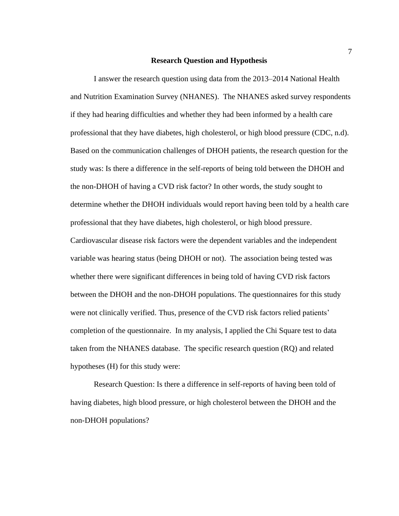#### **Research Question and Hypothesis**

I answer the research question using data from the 2013–2014 National Health and Nutrition Examination Survey (NHANES). The NHANES asked survey respondents if they had hearing difficulties and whether they had been informed by a health care professional that they have diabetes, high cholesterol, or high blood pressure (CDC, n.d). Based on the communication challenges of DHOH patients, the research question for the study was: Is there a difference in the self-reports of being told between the DHOH and the non-DHOH of having a CVD risk factor? In other words, the study sought to determine whether the DHOH individuals would report having been told by a health care professional that they have diabetes, high cholesterol, or high blood pressure. Cardiovascular disease risk factors were the dependent variables and the independent variable was hearing status (being DHOH or not). The association being tested was whether there were significant differences in being told of having CVD risk factors between the DHOH and the non-DHOH populations. The questionnaires for this study were not clinically verified. Thus, presence of the CVD risk factors relied patients' completion of the questionnaire. In my analysis, I applied the Chi Square test to data taken from the NHANES database. The specific research question (RQ) and related hypotheses (H) for this study were:

Research Question: Is there a difference in self-reports of having been told of having diabetes, high blood pressure, or high cholesterol between the DHOH and the non-DHOH populations?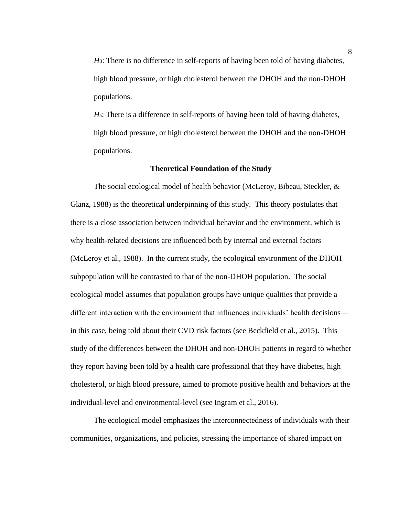*H*0: There is no difference in self-reports of having been told of having diabetes, high blood pressure, or high cholesterol between the DHOH and the non-DHOH populations.

*H*a: There is a difference in self-reports of having been told of having diabetes, high blood pressure, or high cholesterol between the DHOH and the non-DHOH populations.

# **Theoretical Foundation of the Study**

The social ecological model of health behavior (McLeroy, Bibeau, Steckler, & Glanz, 1988) is the theoretical underpinning of this study. This theory postulates that there is a close association between individual behavior and the environment, which is why health-related decisions are influenced both by internal and external factors (McLeroy et al., 1988). In the current study, the ecological environment of the DHOH subpopulation will be contrasted to that of the non-DHOH population. The social ecological model assumes that population groups have unique qualities that provide a different interaction with the environment that influences individuals' health decisions in this case, being told about their CVD risk factors (see Beckfield et al., 2015). This study of the differences between the DHOH and non-DHOH patients in regard to whether they report having been told by a health care professional that they have diabetes, high cholesterol, or high blood pressure, aimed to promote positive health and behaviors at the individual-level and environmental-level (see Ingram et al., 2016).

The ecological model emphasizes the interconnectedness of individuals with their communities, organizations, and policies, stressing the importance of shared impact on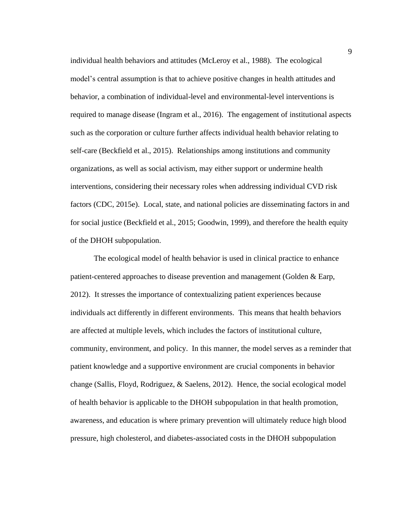individual health behaviors and attitudes (McLeroy et al., 1988). The ecological model's central assumption is that to achieve positive changes in health attitudes and behavior, a combination of individual-level and environmental-level interventions is required to manage disease (Ingram et al., 2016). The engagement of institutional aspects such as the corporation or culture further affects individual health behavior relating to self-care (Beckfield et al., 2015). Relationships among institutions and community organizations, as well as social activism, may either support or undermine health interventions, considering their necessary roles when addressing individual CVD risk factors (CDC, 2015e). Local, state, and national policies are disseminating factors in and for social justice (Beckfield et al., 2015; Goodwin, 1999), and therefore the health equity of the DHOH subpopulation.

The ecological model of health behavior is used in clinical practice to enhance patient-centered approaches to disease prevention and management (Golden & Earp, 2012). It stresses the importance of contextualizing patient experiences because individuals act differently in different environments. This means that health behaviors are affected at multiple levels, which includes the factors of institutional culture, community, environment, and policy. In this manner, the model serves as a reminder that patient knowledge and a supportive environment are crucial components in behavior change (Sallis, Floyd, Rodriguez, & Saelens, 2012). Hence, the social ecological model of health behavior is applicable to the DHOH subpopulation in that health promotion, awareness, and education is where primary prevention will ultimately reduce high blood pressure, high cholesterol, and diabetes-associated costs in the DHOH subpopulation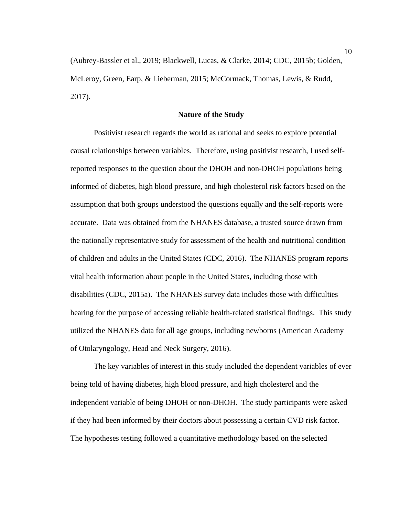(Aubrey-Bassler et al., 2019; Blackwell, Lucas, & Clarke, 2014; CDC, 2015b; Golden, McLeroy, Green, Earp, & Lieberman, 2015; McCormack, Thomas, Lewis, & Rudd, 2017).

# **Nature of the Study**

Positivist research regards the world as rational and seeks to explore potential causal relationships between variables. Therefore, using positivist research, I used selfreported responses to the question about the DHOH and non-DHOH populations being informed of diabetes, high blood pressure, and high cholesterol risk factors based on the assumption that both groups understood the questions equally and the self-reports were accurate. Data was obtained from the NHANES database, a trusted source drawn from the nationally representative study for assessment of the health and nutritional condition of children and adults in the United States (CDC, 2016). The NHANES program reports vital health information about people in the United States, including those with disabilities (CDC, 2015a). The NHANES survey data includes those with difficulties hearing for the purpose of accessing reliable health-related statistical findings. This study utilized the NHANES data for all age groups, including newborns (American Academy of Otolaryngology, Head and Neck Surgery, 2016).

The key variables of interest in this study included the dependent variables of ever being told of having diabetes, high blood pressure, and high cholesterol and the independent variable of being DHOH or non-DHOH. The study participants were asked if they had been informed by their doctors about possessing a certain CVD risk factor. The hypotheses testing followed a quantitative methodology based on the selected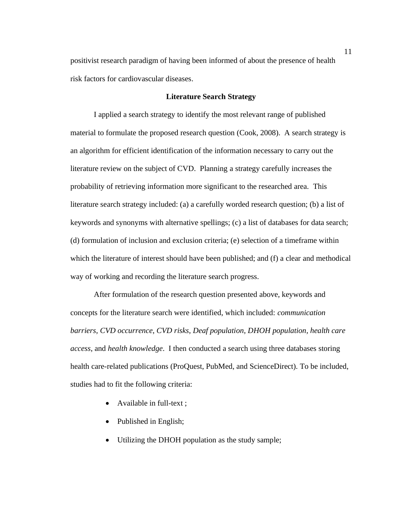positivist research paradigm of having been informed of about the presence of health risk factors for cardiovascular diseases.

# **Literature Search Strategy**

I applied a search strategy to identify the most relevant range of published material to formulate the proposed research question (Cook, 2008). A search strategy is an algorithm for efficient identification of the information necessary to carry out the literature review on the subject of CVD. Planning a strategy carefully increases the probability of retrieving information more significant to the researched area. This literature search strategy included: (a) a carefully worded research question; (b) a list of keywords and synonyms with alternative spellings; (c) a list of databases for data search; (d) formulation of inclusion and exclusion criteria; (e) selection of a timeframe within which the literature of interest should have been published; and (f) a clear and methodical way of working and recording the literature search progress.

After formulation of the research question presented above, keywords and concepts for the literature search were identified, which included: *communication barriers*, *CVD occurrence*, *CVD risks*, *Deaf population*, *DHOH population*, *health care access*, and *health knowledge*. I then conducted a search using three databases storing health care-related publications (ProQuest, PubMed, and ScienceDirect). To be included, studies had to fit the following criteria:

- Available in full-text ;
- Published in English;
- Utilizing the DHOH population as the study sample;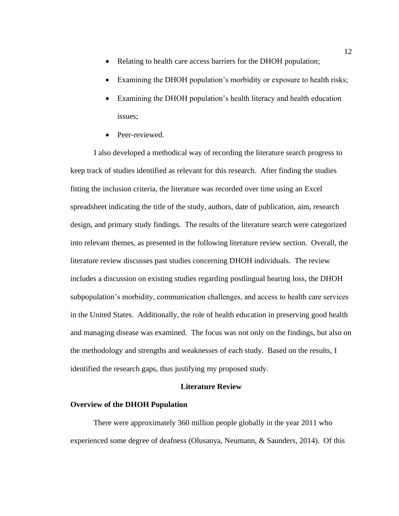- Relating to health care access barriers for the DHOH population;
- Examining the DHOH population's morbidity or exposure to health risks;
- Examining the DHOH population's health literacy and health education issues;
- Peer-reviewed.

I also developed a methodical way of recording the literature search progress to keep track of studies identified as relevant for this research. After finding the studies fitting the inclusion criteria, the literature was recorded over time using an Excel spreadsheet indicating the title of the study, authors, date of publication, aim, research design, and primary study findings. The results of the literature search were categorized into relevant themes, as presented in the following literature review section. Overall, the literature review discusses past studies concerning DHOH individuals. The review includes a discussion on existing studies regarding postlingual hearing loss, the DHOH subpopulation's morbidity, communication challenges, and access to health care services in the United States. Additionally, the role of health education in preserving good health and managing disease was examined. The focus was not only on the findings, but also on the methodology and strengths and weaknesses of each study. Based on the results, I identified the research gaps, thus justifying my proposed study.

# **Literature Review**

# **Overview of the DHOH Population**

There were approximately 360 million people globally in the year 2011 who experienced some degree of deafness (Olusanya, Neumann, & Saunders, 2014). Of this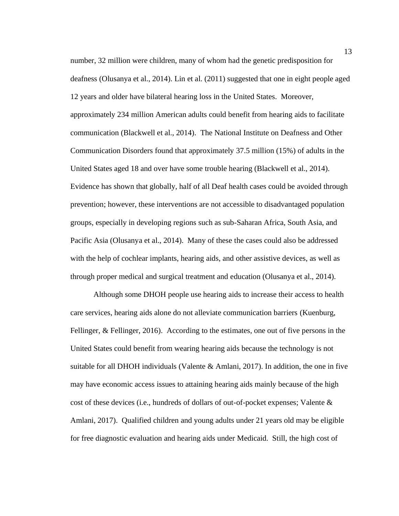number, 32 million were children, many of whom had the genetic predisposition for deafness (Olusanya et al., 2014). Lin et al. (2011) suggested that one in eight people aged 12 years and older have bilateral hearing loss in the United States. Moreover, approximately 234 million American adults could benefit from hearing aids to facilitate communication (Blackwell et al., 2014). The National Institute on Deafness and Other Communication Disorders found that approximately 37.5 million (15%) of adults in the United States aged 18 and over have some trouble hearing (Blackwell et al., 2014). Evidence has shown that globally, half of all Deaf health cases could be avoided through prevention; however, these interventions are not accessible to disadvantaged population groups, especially in developing regions such as sub-Saharan Africa, South Asia, and Pacific Asia (Olusanya et al., 2014). Many of these the cases could also be addressed with the help of cochlear implants, hearing aids, and other assistive devices, as well as through proper medical and surgical treatment and education (Olusanya et al., 2014).

Although some DHOH people use hearing aids to increase their access to health care services, hearing aids alone do not alleviate communication barriers (Kuenburg, Fellinger, & Fellinger, 2016). According to the estimates, one out of five persons in the United States could benefit from wearing hearing aids because the technology is not suitable for all DHOH individuals (Valente & Amlani, 2017). In addition, the one in five may have economic access issues to attaining hearing aids mainly because of the high cost of these devices (i.e., hundreds of dollars of out-of-pocket expenses; Valente  $\&$ Amlani, 2017). Qualified children and young adults under 21 years old may be eligible for free diagnostic evaluation and hearing aids under Medicaid. Still, the high cost of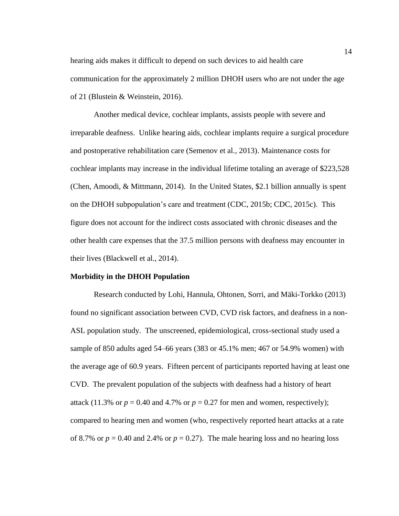hearing aids makes it difficult to depend on such devices to aid health care communication for the approximately 2 million DHOH users who are not under the age of 21 (Blustein & Weinstein, 2016).

Another medical device, cochlear implants, assists people with severe and irreparable deafness. Unlike hearing aids, cochlear implants require a surgical procedure and postoperative rehabilitation care (Semenov et al., 2013). Maintenance costs for cochlear implants may increase in the individual lifetime totaling an average of \$223,528 (Chen, Amoodi, & Mittmann, 2014). In the United States, \$2.1 billion annually is spent on the DHOH subpopulation's care and treatment (CDC, 2015b; CDC, 2015c). This figure does not account for the indirect costs associated with chronic diseases and the other health care expenses that the 37.5 million persons with deafness may encounter in their lives (Blackwell et al., 2014).

# **Morbidity in the DHOH Population**

Research conducted by Lohi, Hannula, Ohtonen, Sorri, and Mäki-Torkko (2013) found no significant association between CVD, CVD risk factors, and deafness in a non-ASL population study. The unscreened, epidemiological, cross-sectional study used a sample of 850 adults aged 54–66 years (383 or 45.1% men; 467 or 54.9% women) with the average age of 60.9 years. Fifteen percent of participants reported having at least one CVD. The prevalent population of the subjects with deafness had a history of heart attack (11.3% or  $p = 0.40$  and 4.7% or  $p = 0.27$  for men and women, respectively); compared to hearing men and women (who, respectively reported heart attacks at a rate of 8.7% or  $p = 0.40$  and 2.4% or  $p = 0.27$ ). The male hearing loss and no hearing loss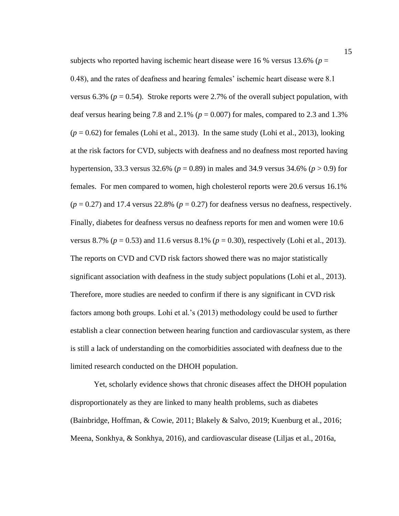subjects who reported having ischemic heart disease were 16 % versus 13.6% ( $p =$ 0.48), and the rates of deafness and hearing females' ischemic heart disease were 8.1 versus 6.3% ( $p = 0.54$ ). Stroke reports were 2.7% of the overall subject population, with deaf versus hearing being 7.8 and  $2.1\%$  ( $p = 0.007$ ) for males, compared to 2.3 and 1.3%  $(p = 0.62)$  for females (Lohi et al., 2013). In the same study (Lohi et al., 2013), looking at the risk factors for CVD, subjects with deafness and no deafness most reported having hypertension, 33.3 versus 32.6% (*p* = 0.89) in males and 34.9 versus 34.6% (*p* > 0.9) for females. For men compared to women, high cholesterol reports were 20.6 versus 16.1%  $(p = 0.27)$  and 17.4 versus 22.8%  $(p = 0.27)$  for deafness versus no deafness, respectively. Finally, diabetes for deafness versus no deafness reports for men and women were 10.6 versus 8.7% ( $p = 0.53$ ) and 11.6 versus 8.1% ( $p = 0.30$ ), respectively (Lohi et al., 2013). The reports on CVD and CVD risk factors showed there was no major statistically significant association with deafness in the study subject populations (Lohi et al., 2013). Therefore, more studies are needed to confirm if there is any significant in CVD risk factors among both groups. Lohi et al.'s (2013) methodology could be used to further establish a clear connection between hearing function and cardiovascular system, as there is still a lack of understanding on the comorbidities associated with deafness due to the limited research conducted on the DHOH population.

Yet, scholarly evidence shows that chronic diseases affect the DHOH population disproportionately as they are linked to many health problems, such as diabetes (Bainbridge, Hoffman, & Cowie, 2011; Blakely & Salvo, 2019; Kuenburg et al., 2016; Meena, Sonkhya, & Sonkhya, 2016), and cardiovascular disease (Liljas et al., 2016a,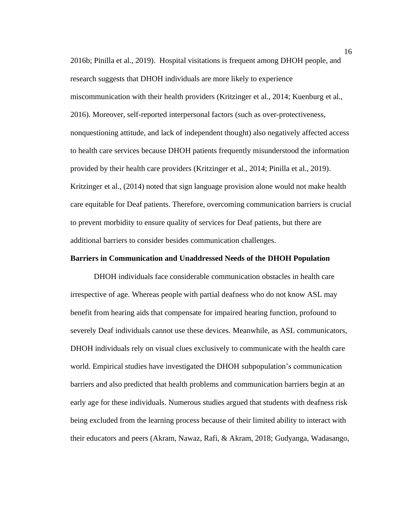2016b; Pinilla et al., 2019). Hospital visitations is frequent among DHOH people, and research suggests that DHOH individuals are more likely to experience miscommunication with their health providers (Kritzinger et al., 2014; Kuenburg et al., 2016). Moreover, self-reported interpersonal factors (such as over-protectiveness, nonquestioning attitude, and lack of independent thought) also negatively affected access to health care services because DHOH patients frequently misunderstood the information provided by their health care providers (Kritzinger et al., 2014; Pinilla et al., 2019). Kritzinger et al., (2014) noted that sign language provision alone would not make health care equitable for Deaf patients. Therefore, overcoming communication barriers is crucial to prevent morbidity to ensure quality of services for Deaf patients, but there are additional barriers to consider besides communication challenges.

## **Barriers in Communication and Unaddressed Needs of the DHOH Population**

DHOH individuals face considerable communication obstacles in health care irrespective of age. Whereas people with partial deafness who do not know ASL may benefit from hearing aids that compensate for impaired hearing function, profound to severely Deaf individuals cannot use these devices. Meanwhile, as ASL communicators, DHOH individuals rely on visual clues exclusively to communicate with the health care world. Empirical studies have investigated the DHOH subpopulation's communication barriers and also predicted that health problems and communication barriers begin at an early age for these individuals. Numerous studies argued that students with deafness risk being excluded from the learning process because of their limited ability to interact with their educators and peers (Akram, Nawaz, Rafi, & Akram, 2018; Gudyanga, Wadasango,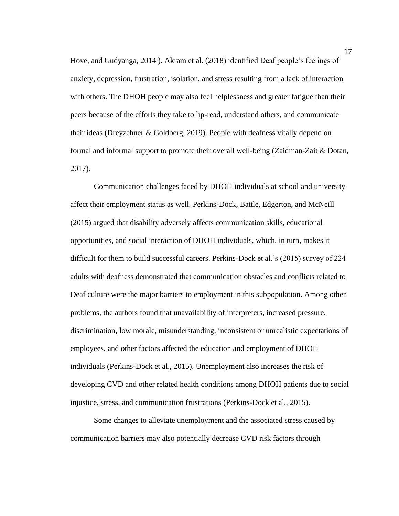Hove, and Gudyanga, 2014 ). Akram et al. (2018) identified Deaf people's feelings of anxiety, depression, frustration, isolation, and stress resulting from a lack of interaction with others. The DHOH people may also feel helplessness and greater fatigue than their peers because of the efforts they take to lip-read, understand others, and communicate their ideas (Dreyzehner & Goldberg, 2019). People with deafness vitally depend on formal and informal support to promote their overall well-being (Zaidman-Zait & Dotan, 2017).

Communication challenges faced by DHOH individuals at school and university affect their employment status as well. Perkins-Dock, Battle, Edgerton, and McNeill (2015) argued that disability adversely affects communication skills, educational opportunities, and social interaction of DHOH individuals, which, in turn, makes it difficult for them to build successful careers. Perkins-Dock et al.'s (2015) survey of 224 adults with deafness demonstrated that communication obstacles and conflicts related to Deaf culture were the major barriers to employment in this subpopulation. Among other problems, the authors found that unavailability of interpreters, increased pressure, discrimination, low morale, misunderstanding, inconsistent or unrealistic expectations of employees, and other factors affected the education and employment of DHOH individuals (Perkins-Dock et al., 2015). Unemployment also increases the risk of developing CVD and other related health conditions among DHOH patients due to social injustice, stress, and communication frustrations (Perkins-Dock et al., 2015).

Some changes to alleviate unemployment and the associated stress caused by communication barriers may also potentially decrease CVD risk factors through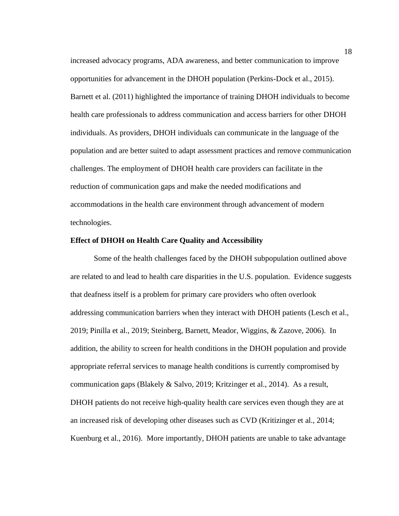increased advocacy programs, ADA awareness, and better communication to improve opportunities for advancement in the DHOH population (Perkins-Dock et al., 2015). Barnett et al. (2011) highlighted the importance of training DHOH individuals to become health care professionals to address communication and access barriers for other DHOH individuals. As providers, DHOH individuals can communicate in the language of the population and are better suited to adapt assessment practices and remove communication challenges. The employment of DHOH health care providers can facilitate in the reduction of communication gaps and make the needed modifications and accommodations in the health care environment through advancement of modern technologies.

### **Effect of DHOH on Health Care Quality and Accessibility**

Some of the health challenges faced by the DHOH subpopulation outlined above are related to and lead to health care disparities in the U.S. population. Evidence suggests that deafness itself is a problem for primary care providers who often overlook addressing communication barriers when they interact with DHOH patients (Lesch et al., 2019; Pinilla et al., 2019; Steinberg, Barnett, Meador, Wiggins, & Zazove, 2006). In addition, the ability to screen for health conditions in the DHOH population and provide appropriate referral services to manage health conditions is currently compromised by communication gaps (Blakely & Salvo, 2019; Kritzinger et al., 2014). As a result, DHOH patients do not receive high-quality health care services even though they are at an increased risk of developing other diseases such as CVD (Kritizinger et al., 2014; Kuenburg et al., 2016). More importantly, DHOH patients are unable to take advantage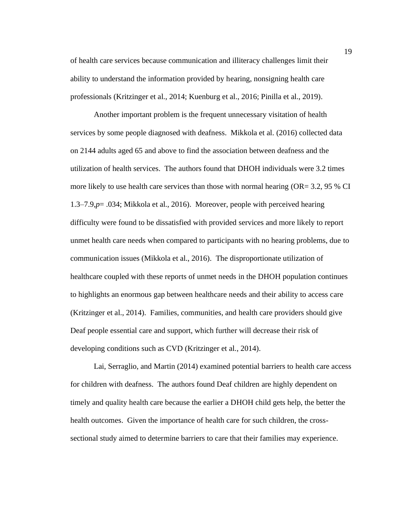of health care services because communication and illiteracy challenges limit their ability to understand the information provided by hearing, nonsigning health care professionals (Kritzinger et al., 2014; Kuenburg et al., 2016; Pinilla et al., 2019).

Another important problem is the frequent unnecessary visitation of health services by some people diagnosed with deafness. Mikkola et al*.* (2016) collected data on 2144 adults aged 65 and above to find the association between deafness and the utilization of health services. The authors found that DHOH individuals were 3.2 times more likely to use health care services than those with normal hearing (OR=  $3.2$ , 95 % CI 1.3–7.9,*p*= .034; Mikkola et al., 2016). Moreover, people with perceived hearing difficulty were found to be dissatisfied with provided services and more likely to report unmet health care needs when compared to participants with no hearing problems, due to communication issues (Mikkola et al., 2016). The disproportionate utilization of healthcare coupled with these reports of unmet needs in the DHOH population continues to highlights an enormous gap between healthcare needs and their ability to access care (Kritzinger et al., 2014). Families, communities, and health care providers should give Deaf people essential care and support, which further will decrease their risk of developing conditions such as CVD (Kritzinger et al., 2014).

Lai, Serraglio, and Martin (2014) examined potential barriers to health care access for children with deafness. The authors found Deaf children are highly dependent on timely and quality health care because the earlier a DHOH child gets help, the better the health outcomes. Given the importance of health care for such children, the crosssectional study aimed to determine barriers to care that their families may experience.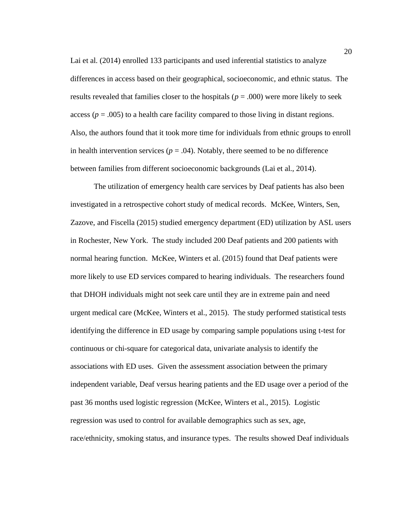Lai et al. (2014) enrolled 133 participants and used inferential statistics to analyze differences in access based on their geographical, socioeconomic, and ethnic status. The results revealed that families closer to the hospitals ( $p = .000$ ) were more likely to seek access ( $p = .005$ ) to a health care facility compared to those living in distant regions. Also, the authors found that it took more time for individuals from ethnic groups to enroll in health intervention services ( $p = .04$ ). Notably, there seemed to be no difference between families from different socioeconomic backgrounds (Lai et al., 2014).

The utilization of emergency health care services by Deaf patients has also been investigated in a retrospective cohort study of medical records. McKee, Winters, Sen, Zazove, and Fiscella (2015) studied emergency department (ED) utilization by ASL users in Rochester, New York. The study included 200 Deaf patients and 200 patients with normal hearing function. McKee, Winters et al. (2015) found that Deaf patients were more likely to use ED services compared to hearing individuals. The researchers found that DHOH individuals might not seek care until they are in extreme pain and need urgent medical care (McKee, Winters et al., 2015). The study performed statistical tests identifying the difference in ED usage by comparing sample populations using t-test for continuous or chi-square for categorical data, univariate analysis to identify the associations with ED uses. Given the assessment association between the primary independent variable, Deaf versus hearing patients and the ED usage over a period of the past 36 months used logistic regression (McKee, Winters et al., 2015). Logistic regression was used to control for available demographics such as sex, age, race/ethnicity, smoking status, and insurance types. The results showed Deaf individuals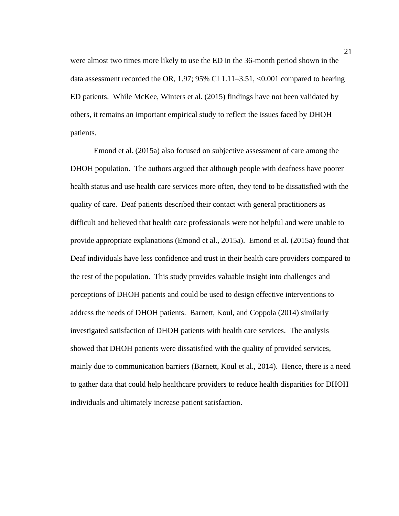were almost two times more likely to use the ED in the 36-month period shown in the data assessment recorded the OR, 1.97; 95% CI 1.11–3.51, <0.001 compared to hearing ED patients. While McKee, Winters et al. (2015) findings have not been validated by others, it remains an important empirical study to reflect the issues faced by DHOH patients.

Emond et al. (2015a) also focused on subjective assessment of care among the DHOH population. The authors argued that although people with deafness have poorer health status and use health care services more often, they tend to be dissatisfied with the quality of care. Deaf patients described their contact with general practitioners as difficult and believed that health care professionals were not helpful and were unable to provide appropriate explanations (Emond et al., 2015a). Emond et al. (2015a) found that Deaf individuals have less confidence and trust in their health care providers compared to the rest of the population. This study provides valuable insight into challenges and perceptions of DHOH patients and could be used to design effective interventions to address the needs of DHOH patients. Barnett, Koul, and Coppola (2014) similarly investigated satisfaction of DHOH patients with health care services. The analysis showed that DHOH patients were dissatisfied with the quality of provided services, mainly due to communication barriers (Barnett, Koul et al., 2014). Hence, there is a need to gather data that could help healthcare providers to reduce health disparities for DHOH individuals and ultimately increase patient satisfaction.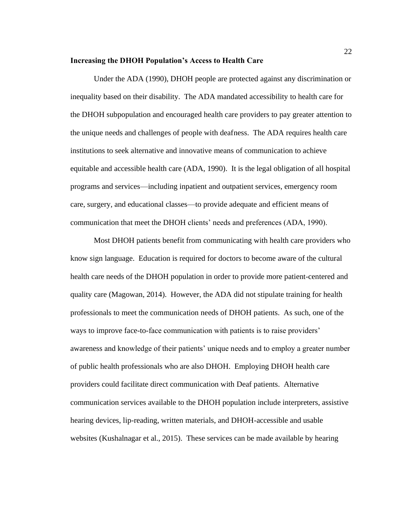#### **Increasing the DHOH Population's Access to Health Care**

Under the ADA (1990), DHOH people are protected against any discrimination or inequality based on their disability. The ADA mandated accessibility to health care for the DHOH subpopulation and encouraged health care providers to pay greater attention to the unique needs and challenges of people with deafness. The ADA requires health care institutions to seek alternative and innovative means of communication to achieve equitable and accessible health care (ADA, 1990). It is the legal obligation of all hospital programs and services—including inpatient and outpatient services, emergency room care, surgery, and educational classes—to provide adequate and efficient means of communication that meet the DHOH clients' needs and preferences (ADA, 1990).

Most DHOH patients benefit from communicating with health care providers who know sign language. Education is required for doctors to become aware of the cultural health care needs of the DHOH population in order to provide more patient-centered and quality care (Magowan, 2014). However, the ADA did not stipulate training for health professionals to meet the communication needs of DHOH patients. As such, one of the ways to improve face-to-face communication with patients is to raise providers' awareness and knowledge of their patients' unique needs and to employ a greater number of public health professionals who are also DHOH. Employing DHOH health care providers could facilitate direct communication with Deaf patients. Alternative communication services available to the DHOH population include interpreters, assistive hearing devices, lip-reading, written materials, and DHOH-accessible and usable websites (Kushalnagar et al., 2015). These services can be made available by hearing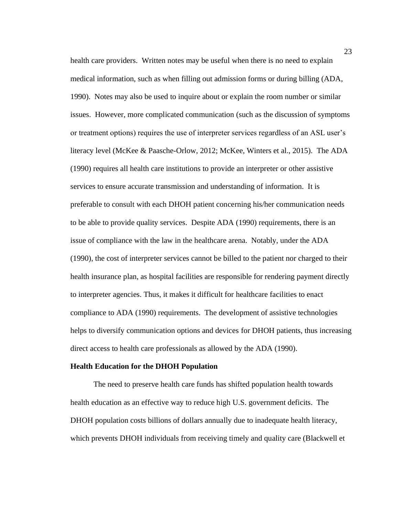health care providers. Written notes may be useful when there is no need to explain medical information, such as when filling out admission forms or during billing (ADA, 1990). Notes may also be used to inquire about or explain the room number or similar issues. However, more complicated communication (such as the discussion of symptoms or treatment options) requires the use of interpreter services regardless of an ASL user's literacy level (McKee & Paasche-Orlow, 2012; McKee, Winters et al., 2015). The ADA (1990) requires all health care institutions to provide an interpreter or other assistive services to ensure accurate transmission and understanding of information. It is preferable to consult with each DHOH patient concerning his/her communication needs to be able to provide quality services. Despite ADA (1990) requirements, there is an issue of compliance with the law in the healthcare arena. Notably, under the ADA (1990), the cost of interpreter services cannot be billed to the patient nor charged to their health insurance plan, as hospital facilities are responsible for rendering payment directly to interpreter agencies. Thus, it makes it difficult for healthcare facilities to enact compliance to ADA (1990) requirements. The development of assistive technologies helps to diversify communication options and devices for DHOH patients, thus increasing direct access to health care professionals as allowed by the ADA (1990).

# **Health Education for the DHOH Population**

The need to preserve health care funds has shifted population health towards health education as an effective way to reduce high U.S. government deficits. The DHOH population costs billions of dollars annually due to inadequate health literacy, which prevents DHOH individuals from receiving timely and quality care (Blackwell et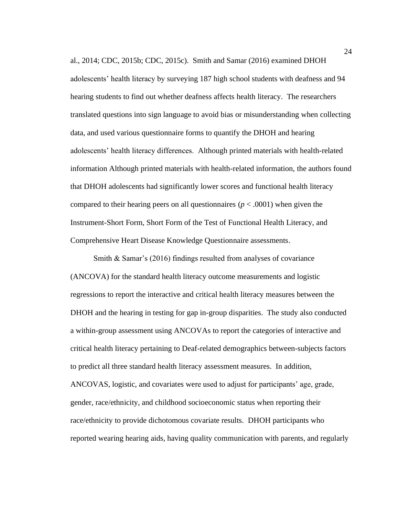al., 2014; CDC, 2015b; CDC, 2015c). Smith and Samar (2016) examined DHOH adolescents' health literacy by surveying 187 high school students with deafness and 94 hearing students to find out whether deafness affects health literacy. The researchers translated questions into sign language to avoid bias or misunderstanding when collecting data, and used various questionnaire forms to quantify the DHOH and hearing adolescents' health literacy differences. Although printed materials with health-related information Although printed materials with health-related information, the authors found that DHOH adolescents had significantly lower scores and functional health literacy compared to their hearing peers on all questionnaires ( $p < .0001$ ) when given the Instrument-Short Form, Short Form of the Test of Functional Health Literacy, and Comprehensive Heart Disease Knowledge Questionnaire assessments.

Smith & Samar's (2016) findings resulted from analyses of covariance (ANCOVA) for the standard health literacy outcome measurements and logistic regressions to report the interactive and critical health literacy measures between the DHOH and the hearing in testing for gap in-group disparities. The study also conducted a within-group assessment using ANCOVAs to report the categories of interactive and critical health literacy pertaining to Deaf-related demographics between-subjects factors to predict all three standard health literacy assessment measures. In addition, ANCOVAS, logistic, and covariates were used to adjust for participants' age, grade, gender, race/ethnicity, and childhood socioeconomic status when reporting their race/ethnicity to provide dichotomous covariate results. DHOH participants who reported wearing hearing aids, having quality communication with parents, and regularly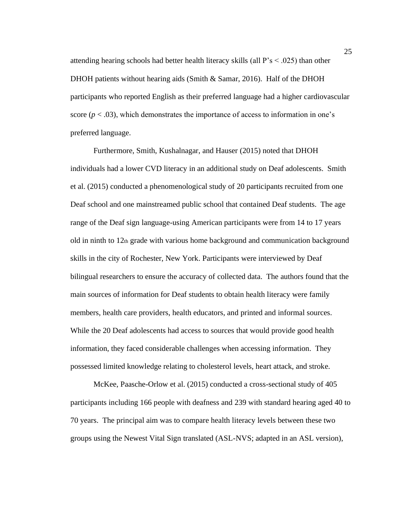attending hearing schools had better health literacy skills (all P's < .025) than other DHOH patients without hearing aids (Smith & Samar, 2016). Half of the DHOH participants who reported English as their preferred language had a higher cardiovascular score  $(p < .03)$ , which demonstrates the importance of access to information in one's preferred language.

Furthermore, Smith, Kushalnagar, and Hauser (2015) noted that DHOH individuals had a lower CVD literacy in an additional study on Deaf adolescents. Smith et al. (2015) conducted a phenomenological study of 20 participants recruited from one Deaf school and one mainstreamed public school that contained Deaf students. The age range of the Deaf sign language-using American participants were from 14 to 17 years old in ninth to 12th grade with various home background and communication background skills in the city of Rochester, New York. Participants were interviewed by Deaf bilingual researchers to ensure the accuracy of collected data. The authors found that the main sources of information for Deaf students to obtain health literacy were family members, health care providers, health educators, and printed and informal sources. While the 20 Deaf adolescents had access to sources that would provide good health information, they faced considerable challenges when accessing information. They possessed limited knowledge relating to cholesterol levels, heart attack, and stroke.

McKee, Paasche-Orlow et al. (2015) conducted a cross-sectional study of 405 participants including 166 people with deafness and 239 with standard hearing aged 40 to 70 years. The principal aim was to compare health literacy levels between these two groups using the Newest Vital Sign translated (ASL-NVS; adapted in an ASL version),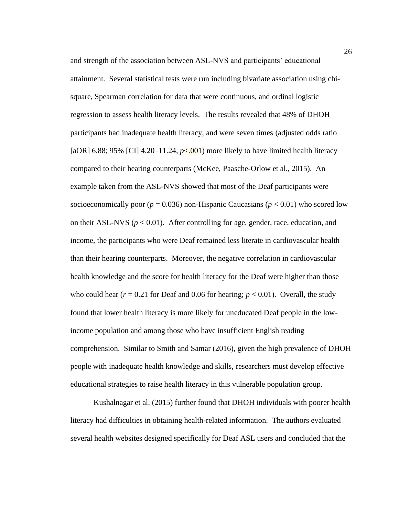and strength of the association between ASL-NVS and participants' educational attainment. Several statistical tests were run including bivariate association using chisquare, Spearman correlation for data that were continuous, and ordinal logistic regression to assess health literacy levels. The results revealed that 48% of DHOH participants had inadequate health literacy, and were seven times (adjusted odds ratio [aOR] 6.88; 95% [CI] 4.20–11.24,  $p<0.001$ ] more likely to have limited health literacy compared to their hearing counterparts (McKee, Paasche-Orlow et al., 2015). An example taken from the ASL-NVS showed that most of the Deaf participants were socioeconomically poor ( $p = 0.036$ ) non-Hispanic Caucasians ( $p < 0.01$ ) who scored low on their ASL-NVS ( $p < 0.01$ ). After controlling for age, gender, race, education, and income, the participants who were Deaf remained less literate in cardiovascular health than their hearing counterparts. Moreover, the negative correlation in cardiovascular health knowledge and the score for health literacy for the Deaf were higher than those who could hear  $(r = 0.21$  for Deaf and 0.06 for hearing;  $p < 0.01$ ). Overall, the study found that lower health literacy is more likely for uneducated Deaf people in the lowincome population and among those who have insufficient English reading comprehension. Similar to Smith and Samar (2016), given the high prevalence of DHOH people with inadequate health knowledge and skills, researchers must develop effective educational strategies to raise health literacy in this vulnerable population group.

Kushalnagar et al. (2015) further found that DHOH individuals with poorer health literacy had difficulties in obtaining health-related information. The authors evaluated several health websites designed specifically for Deaf ASL users and concluded that the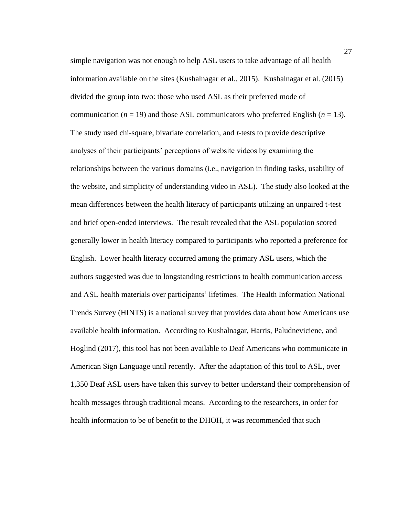simple navigation was not enough to help ASL users to take advantage of all health information available on the sites (Kushalnagar et al., 2015). Kushalnagar et al. (2015) divided the group into two: those who used ASL as their preferred mode of communication ( $n = 19$ ) and those ASL communicators who preferred English ( $n = 13$ ). The study used chi-square, bivariate correlation, and *t*-tests to provide descriptive analyses of their participants' perceptions of website videos by examining the relationships between the various domains (i.e., navigation in finding tasks, usability of the website, and simplicity of understanding video in ASL). The study also looked at the mean differences between the health literacy of participants utilizing an unpaired t-test and brief open-ended interviews. The result revealed that the ASL population scored generally lower in health literacy compared to participants who reported a preference for English. Lower health literacy occurred among the primary ASL users, which the authors suggested was due to longstanding restrictions to health communication access and ASL health materials over participants' lifetimes. The Health Information National Trends Survey (HINTS) is a national survey that provides data about how Americans use available health information. According to Kushalnagar, Harris, Paludneviciene, and Hoglind (2017), this tool has not been available to Deaf Americans who communicate in American Sign Language until recently. After the adaptation of this tool to ASL, over 1,350 Deaf ASL users have taken this survey to better understand their comprehension of health messages through traditional means. According to the researchers, in order for health information to be of benefit to the DHOH, it was recommended that such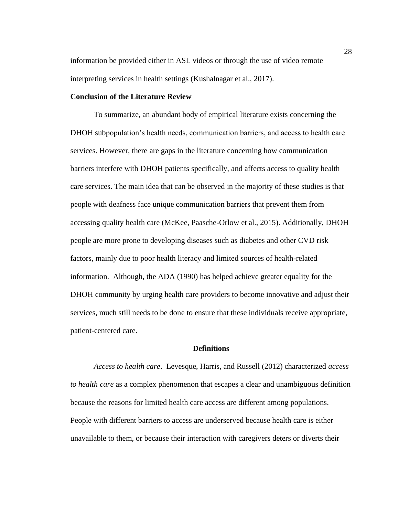information be provided either in ASL videos or through the use of video remote interpreting services in health settings (Kushalnagar et al., 2017).

#### **Conclusion of the Literature Review**

To summarize, an abundant body of empirical literature exists concerning the DHOH subpopulation's health needs, communication barriers, and access to health care services. However, there are gaps in the literature concerning how communication barriers interfere with DHOH patients specifically, and affects access to quality health care services. The main idea that can be observed in the majority of these studies is that people with deafness face unique communication barriers that prevent them from accessing quality health care (McKee, Paasche-Orlow et al., 2015). Additionally, DHOH people are more prone to developing diseases such as diabetes and other CVD risk factors, mainly due to poor health literacy and limited sources of health-related information. Although, the ADA (1990) has helped achieve greater equality for the DHOH community by urging health care providers to become innovative and adjust their services, much still needs to be done to ensure that these individuals receive appropriate, patient-centered care.

#### **Definitions**

*Access to health care*. Levesque, Harris, and Russell (2012) characterized *access to health care* as a complex phenomenon that escapes a clear and unambiguous definition because the reasons for limited health care access are different among populations. People with different barriers to access are underserved because health care is either unavailable to them, or because their interaction with caregivers deters or diverts their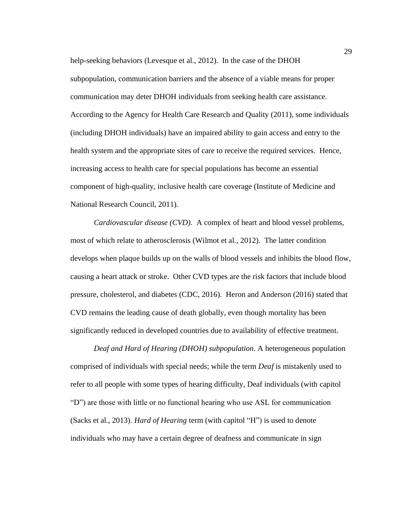help-seeking behaviors (Levesque et al., 2012). In the case of the DHOH subpopulation, communication barriers and the absence of a viable means for proper communication may deter DHOH individuals from seeking health care assistance. According to the Agency for Health Care Research and Quality (2011), some individuals (including DHOH individuals) have an impaired ability to gain access and entry to the health system and the appropriate sites of care to receive the required services. Hence, increasing access to health care for special populations has become an essential component of high-quality, inclusive health care coverage (Institute of Medicine and National Research Council, 2011).

*Cardiovascular disease (CVD).* A complex of heart and blood vessel problems, most of which relate to atherosclerosis (Wilmot et al., 2012). The latter condition develops when plaque builds up on the walls of blood vessels and inhibits the blood flow, causing a heart attack or stroke. Other CVD types are the risk factors that include blood pressure, cholesterol, and diabetes (CDC, 2016). Heron and Anderson (2016) stated that CVD remains the leading cause of death globally, even though mortality has been significantly reduced in developed countries due to availability of effective treatment.

*Deaf and Hard of Hearing (DHOH) subpopulation*. A heterogeneous population comprised of individuals with special needs; while the term *Deaf* is mistakenly used to refer to all people with some types of hearing difficulty, Deaf individuals (with capitol "D") are those with little or no functional hearing who use ASL for communication (Sacks et al., 2013). *Hard of Hearing* term (with capitol "H") is used to denote individuals who may have a certain degree of deafness and communicate in sign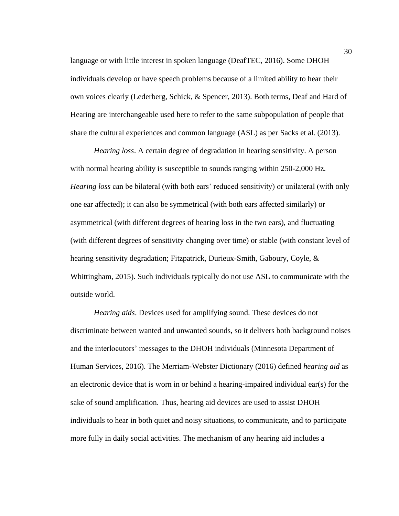language or with little interest in spoken language (DeafTEC, 2016). Some DHOH individuals develop or have speech problems because of a limited ability to hear their own voices clearly (Lederberg, Schick, & Spencer, 2013). Both terms, Deaf and Hard of Hearing are interchangeable used here to refer to the same subpopulation of people that share the cultural experiences and common language (ASL) as per Sacks et al. (2013).

*Hearing loss*. A certain degree of degradation in hearing sensitivity. A person with normal hearing ability is susceptible to sounds ranging within 250-2,000 Hz. *Hearing loss* can be bilateral (with both ears' reduced sensitivity) or unilateral (with only one ear affected); it can also be symmetrical (with both ears affected similarly) or asymmetrical (with different degrees of hearing loss in the two ears), and fluctuating (with different degrees of sensitivity changing over time) or stable (with constant level of hearing sensitivity degradation; Fitzpatrick, Durieux-Smith, Gaboury, Coyle, & Whittingham, 2015). Such individuals typically do not use ASL to communicate with the outside world.

*Hearing aids*. Devices used for amplifying sound. These devices do not discriminate between wanted and unwanted sounds, so it delivers both background noises and the interlocutors' messages to the DHOH individuals (Minnesota Department of Human Services, 2016). The Merriam-Webster Dictionary (2016) defined *hearing aid* as an electronic device that is worn in or behind a hearing-impaired individual ear(s) for the sake of sound amplification. Thus, hearing aid devices are used to assist DHOH individuals to hear in both quiet and noisy situations, to communicate, and to participate more fully in daily social activities. The mechanism of any hearing aid includes a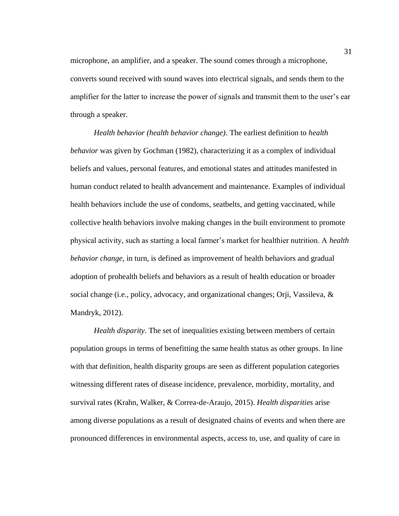microphone, an amplifier, and a speaker. The sound comes through a microphone, converts sound received with sound waves into electrical signals, and sends them to the amplifier for the latter to increase the power of signals and transmit them to the user's ear through a speaker.

*Health behavior (health behavior change)*. The earliest definition to *health behavior* was given by Gochman (1982), characterizing it as a complex of individual beliefs and values, personal features, and emotional states and attitudes manifested in human conduct related to health advancement and maintenance. Examples of individual health behaviors include the use of condoms, seatbelts, and getting vaccinated, while collective health behaviors involve making changes in the built environment to promote physical activity, such as starting a local farmer's market for healthier nutrition. A *health behavior change*, in turn, is defined as improvement of health behaviors and gradual adoption of prohealth beliefs and behaviors as a result of health education or broader social change (i.e., policy, advocacy, and organizational changes; Orji, Vassileva, & Mandryk, 2012).

*Health disparity*. The set of inequalities existing between members of certain population groups in terms of benefitting the same health status as other groups. In line with that definition, health disparity groups are seen as different population categories witnessing different rates of disease incidence, prevalence, morbidity, mortality, and survival rates (Krahn, Walker, & Correa-de-Araujo, 2015). *Health disparities* arise among diverse populations as a result of designated chains of events and when there are pronounced differences in environmental aspects, access to, use, and quality of care in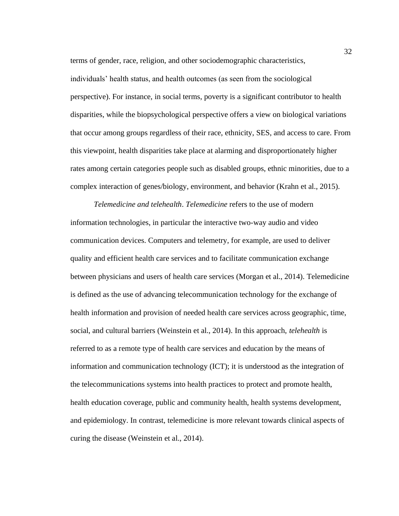terms of gender, race, religion, and other sociodemographic characteristics, individuals' health status, and health outcomes (as seen from the sociological perspective). For instance, in social terms, poverty is a significant contributor to health disparities, while the biopsychological perspective offers a view on biological variations that occur among groups regardless of their race, ethnicity, SES, and access to care. From this viewpoint, health disparities take place at alarming and disproportionately higher rates among certain categories people such as disabled groups, ethnic minorities, due to a complex interaction of genes/biology, environment, and behavior (Krahn et al., 2015).

*Telemedicine and telehealth*. *Telemedicine* refers to the use of modern information technologies, in particular the interactive two-way audio and video communication devices. Computers and telemetry, for example, are used to deliver quality and efficient health care services and to facilitate communication exchange between physicians and users of health care services (Morgan et al., 2014). Telemedicine is defined as the use of advancing telecommunication technology for the exchange of health information and provision of needed health care services across geographic, time, social, and cultural barriers (Weinstein et al., 2014). In this approach, *telehealth* is referred to as a remote type of health care services and education by the means of information and communication technology (ICT); it is understood as the integration of the telecommunications systems into health practices to protect and promote health, health education coverage, public and community health, health systems development, and epidemiology. In contrast, telemedicine is more relevant towards clinical aspects of curing the disease (Weinstein et al., 2014).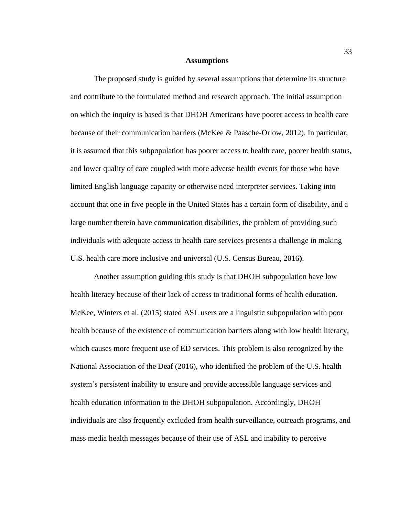#### **Assumptions**

The proposed study is guided by several assumptions that determine its structure and contribute to the formulated method and research approach. The initial assumption on which the inquiry is based is that DHOH Americans have poorer access to health care because of their communication barriers (McKee & Paasche-Orlow, 2012). In particular, it is assumed that this subpopulation has poorer access to health care, poorer health status, and lower quality of care coupled with more adverse health events for those who have limited English language capacity or otherwise need interpreter services. Taking into account that one in five people in the United States has a certain form of disability, and a large number therein have communication disabilities, the problem of providing such individuals with adequate access to health care services presents a challenge in making U.S. health care more inclusive and universal (U.S. Census Bureau, 2016**)**.

Another assumption guiding this study is that DHOH subpopulation have low health literacy because of their lack of access to traditional forms of health education. McKee, Winters et al. (2015) stated ASL users are a linguistic subpopulation with poor health because of the existence of communication barriers along with low health literacy, which causes more frequent use of ED services. This problem is also recognized by the National Association of the Deaf (2016), who identified the problem of the U.S. health system's persistent inability to ensure and provide accessible language services and health education information to the DHOH subpopulation. Accordingly, DHOH individuals are also frequently excluded from health surveillance, outreach programs, and mass media health messages because of their use of ASL and inability to perceive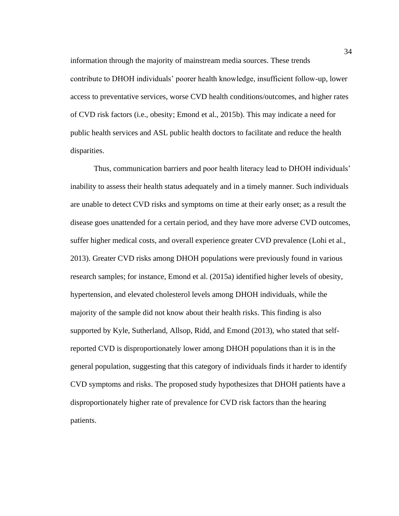information through the majority of mainstream media sources. These trends contribute to DHOH individuals' poorer health knowledge, insufficient follow-up, lower access to preventative services, worse CVD health conditions/outcomes, and higher rates of CVD risk factors (i.e., obesity; Emond et al., 2015b). This may indicate a need for public health services and ASL public health doctors to facilitate and reduce the health disparities.

Thus, communication barriers and poor health literacy lead to DHOH individuals' inability to assess their health status adequately and in a timely manner. Such individuals are unable to detect CVD risks and symptoms on time at their early onset; as a result the disease goes unattended for a certain period, and they have more adverse CVD outcomes, suffer higher medical costs, and overall experience greater CVD prevalence (Lohi et al., 2013). Greater CVD risks among DHOH populations were previously found in various research samples; for instance, Emond et al. (2015a) identified higher levels of obesity, hypertension, and elevated cholesterol levels among DHOH individuals, while the majority of the sample did not know about their health risks. This finding is also supported by Kyle, Sutherland, Allsop, Ridd, and Emond (2013), who stated that selfreported CVD is disproportionately lower among DHOH populations than it is in the general population, suggesting that this category of individuals finds it harder to identify CVD symptoms and risks. The proposed study hypothesizes that DHOH patients have a disproportionately higher rate of prevalence for CVD risk factors than the hearing patients.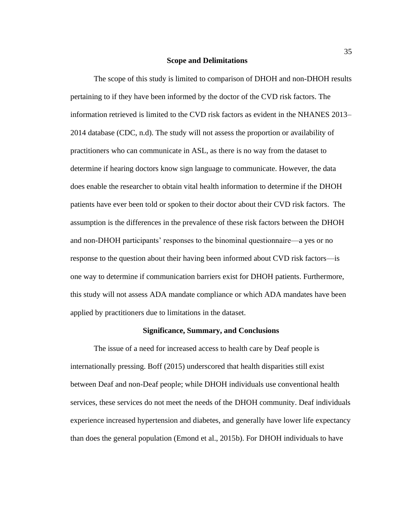#### **Scope and Delimitations**

The scope of this study is limited to comparison of DHOH and non-DHOH results pertaining to if they have been informed by the doctor of the CVD risk factors. The information retrieved is limited to the CVD risk factors as evident in the NHANES 2013– 2014 database (CDC, n.d). The study will not assess the proportion or availability of practitioners who can communicate in ASL, as there is no way from the dataset to determine if hearing doctors know sign language to communicate. However, the data does enable the researcher to obtain vital health information to determine if the DHOH patients have ever been told or spoken to their doctor about their CVD risk factors. The assumption is the differences in the prevalence of these risk factors between the DHOH and non-DHOH participants' responses to the binominal questionnaire—a yes or no response to the question about their having been informed about CVD risk factors—is one way to determine if communication barriers exist for DHOH patients. Furthermore, this study will not assess ADA mandate compliance or which ADA mandates have been applied by practitioners due to limitations in the dataset.

#### **Significance, Summary, and Conclusions**

The issue of a need for increased access to health care by Deaf people is internationally pressing. Boff (2015) underscored that health disparities still exist between Deaf and non-Deaf people; while DHOH individuals use conventional health services, these services do not meet the needs of the DHOH community. Deaf individuals experience increased hypertension and diabetes, and generally have lower life expectancy than does the general population (Emond et al., 2015b). For DHOH individuals to have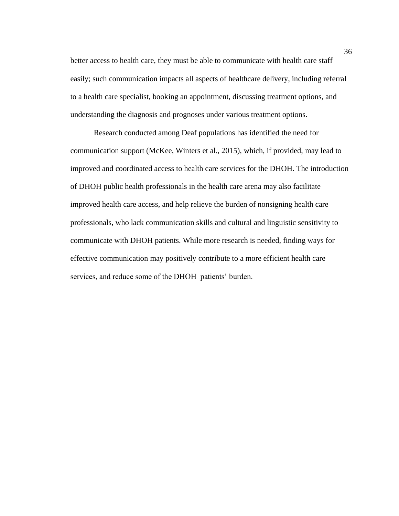better access to health care, they must be able to communicate with health care staff easily; such communication impacts all aspects of healthcare delivery, including referral to a health care specialist, booking an appointment, discussing treatment options, and understanding the diagnosis and prognoses under various treatment options.

Research conducted among Deaf populations has identified the need for communication support (McKee, Winters et al., 2015), which, if provided, may lead to improved and coordinated access to health care services for the DHOH. The introduction of DHOH public health professionals in the health care arena may also facilitate improved health care access, and help relieve the burden of nonsigning health care professionals, who lack communication skills and cultural and linguistic sensitivity to communicate with DHOH patients. While more research is needed, finding ways for effective communication may positively contribute to a more efficient health care services, and reduce some of the DHOH patients' burden.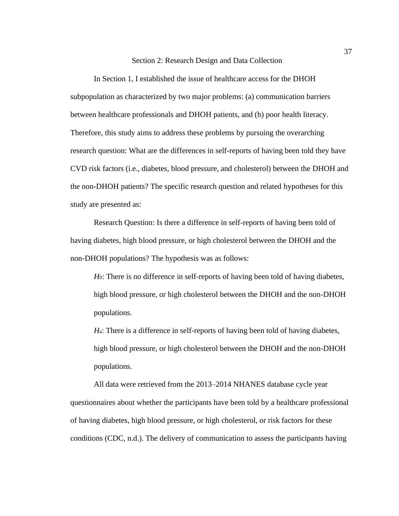#### Section 2: Research Design and Data Collection

In Section 1, I established the issue of healthcare access for the DHOH subpopulation as characterized by two major problems: (a) communication barriers between healthcare professionals and DHOH patients, and (b) poor health literacy. Therefore, this study aims to address these problems by pursuing the overarching research question: What are the differences in self-reports of having been told they have CVD risk factors (i.e., diabetes, blood pressure, and cholesterol) between the DHOH and the non-DHOH patients? The specific research question and related hypotheses for this study are presented as:

Research Question: Is there a difference in self-reports of having been told of having diabetes, high blood pressure, or high cholesterol between the DHOH and the non-DHOH populations? The hypothesis was as follows:

*H*<sub>0</sub>: There is no difference in self-reports of having been told of having diabetes, high blood pressure, or high cholesterol between the DHOH and the non-DHOH populations.

*H*a: There is a difference in self-reports of having been told of having diabetes, high blood pressure, or high cholesterol between the DHOH and the non-DHOH populations.

All data were retrieved from the 2013–2014 NHANES database cycle year questionnaires about whether the participants have been told by a healthcare professional of having diabetes, high blood pressure, or high cholesterol, or risk factors for these conditions (CDC, n.d.). The delivery of communication to assess the participants having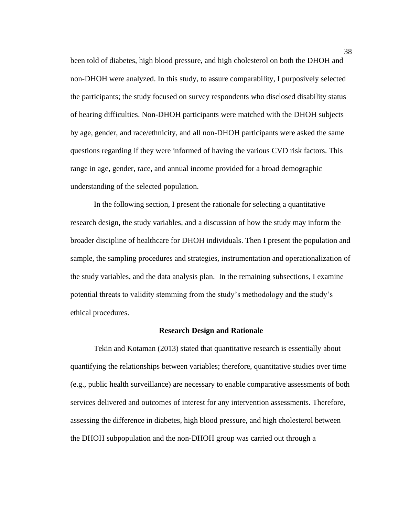been told of diabetes, high blood pressure, and high cholesterol on both the DHOH and non-DHOH were analyzed. In this study, to assure comparability, I purposively selected the participants; the study focused on survey respondents who disclosed disability status of hearing difficulties. Non-DHOH participants were matched with the DHOH subjects by age, gender, and race/ethnicity, and all non-DHOH participants were asked the same questions regarding if they were informed of having the various CVD risk factors. This range in age, gender, race, and annual income provided for a broad demographic understanding of the selected population.

In the following section, I present the rationale for selecting a quantitative research design, the study variables, and a discussion of how the study may inform the broader discipline of healthcare for DHOH individuals. Then I present the population and sample, the sampling procedures and strategies, instrumentation and operationalization of the study variables, and the data analysis plan. In the remaining subsections, I examine potential threats to validity stemming from the study's methodology and the study's ethical procedures.

#### **Research Design and Rationale**

Tekin and Kotaman (2013) stated that quantitative research is essentially about quantifying the relationships between variables; therefore, quantitative studies over time (e.g., public health surveillance) are necessary to enable comparative assessments of both services delivered and outcomes of interest for any intervention assessments. Therefore, assessing the difference in diabetes, high blood pressure, and high cholesterol between the DHOH subpopulation and the non-DHOH group was carried out through a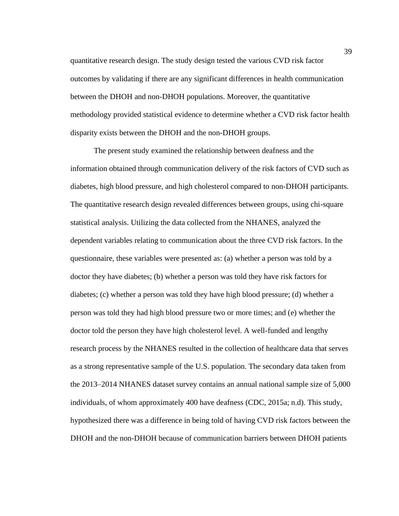quantitative research design. The study design tested the various CVD risk factor outcomes by validating if there are any significant differences in health communication between the DHOH and non-DHOH populations. Moreover, the quantitative methodology provided statistical evidence to determine whether a CVD risk factor health disparity exists between the DHOH and the non-DHOH groups.

The present study examined the relationship between deafness and the information obtained through communication delivery of the risk factors of CVD such as diabetes, high blood pressure, and high cholesterol compared to non-DHOH participants. The quantitative research design revealed differences between groups, using chi-square statistical analysis. Utilizing the data collected from the NHANES, analyzed the dependent variables relating to communication about the three CVD risk factors. In the questionnaire, these variables were presented as: (a) whether a person was told by a doctor they have diabetes; (b) whether a person was told they have risk factors for diabetes; (c) whether a person was told they have high blood pressure; (d) whether a person was told they had high blood pressure two or more times; and (e) whether the doctor told the person they have high cholesterol level. A well-funded and lengthy research process by the NHANES resulted in the collection of healthcare data that serves as a strong representative sample of the U.S. population. The secondary data taken from the 2013–2014 NHANES dataset survey contains an annual national sample size of 5,000 individuals, of whom approximately 400 have deafness (CDC, 2015a; n.d). This study, hypothesized there was a difference in being told of having CVD risk factors between the DHOH and the non-DHOH because of communication barriers between DHOH patients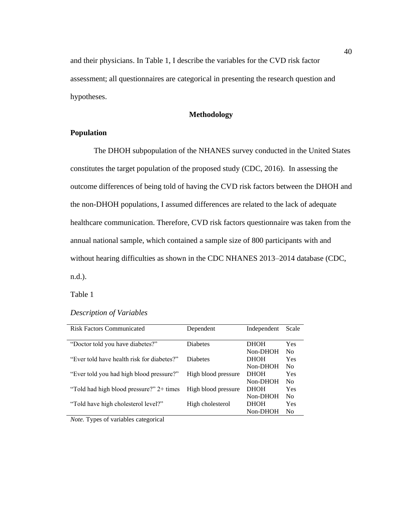and their physicians. In Table 1, I describe the variables for the CVD risk factor assessment; all questionnaires are categorical in presenting the research question and hypotheses.

## **Methodology**

## **Population**

The DHOH subpopulation of the NHANES survey conducted in the United States constitutes the target population of the proposed study (CDC, 2016). In assessing the outcome differences of being told of having the CVD risk factors between the DHOH and the non-DHOH populations, I assumed differences are related to the lack of adequate healthcare communication. Therefore, CVD risk factors questionnaire was taken from the annual national sample, which contained a sample size of 800 participants with and without hearing difficulties as shown in the CDC NHANES 2013–2014 database (CDC, n.d.).

Table 1

## *Description of Variables*

| <b>Risk Factors Communicated</b>           | Dependent           | Independent | Scale          |
|--------------------------------------------|---------------------|-------------|----------------|
|                                            |                     |             |                |
| "Doctor told you have diabetes?"           | <b>Diabetes</b>     | <b>DHOH</b> | Yes            |
|                                            |                     | Non-DHOH    | N <sub>0</sub> |
| "Ever told have health risk for diabetes?" | <b>Diabetes</b>     | <b>DHOH</b> | Yes            |
|                                            |                     | Non-DHOH    | No             |
| "Ever told you had high blood pressure?"   | High blood pressure | <b>DHOH</b> | Yes            |
|                                            |                     | Non-DHOH    | No             |
| "Told had high blood pressure?" 2+ times   | High blood pressure | <b>DHOH</b> | Yes            |
|                                            |                     | Non-DHOH    | N <sub>0</sub> |
| "Told have high cholesterol level?"        | High cholesterol    | <b>DHOH</b> | Yes            |
|                                            |                     | Non-DHOH    | No.            |

*Note.* Types of variables categorical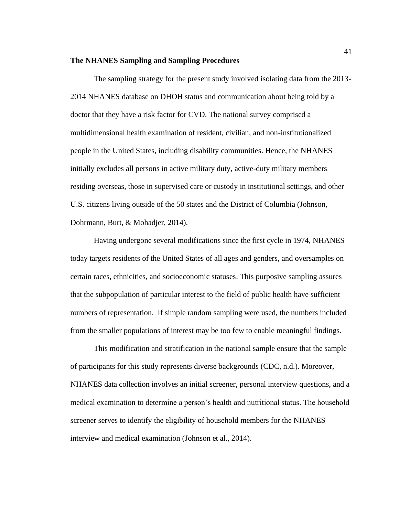#### **The NHANES Sampling and Sampling Procedures**

The sampling strategy for the present study involved isolating data from the 2013- 2014 NHANES database on DHOH status and communication about being told by a doctor that they have a risk factor for CVD. The national survey comprised a multidimensional health examination of resident, civilian, and non-institutionalized people in the United States, including disability communities. Hence, the NHANES initially excludes all persons in active military duty, active-duty military members residing overseas, those in supervised care or custody in institutional settings, and other U.S. citizens living outside of the 50 states and the District of Columbia (Johnson, Dohrmann, Burt, & Mohadjer, 2014).

Having undergone several modifications since the first cycle in 1974, NHANES today targets residents of the United States of all ages and genders, and oversamples on certain races, ethnicities, and socioeconomic statuses. This purposive sampling assures that the subpopulation of particular interest to the field of public health have sufficient numbers of representation. If simple random sampling were used, the numbers included from the smaller populations of interest may be too few to enable meaningful findings.

This modification and stratification in the national sample ensure that the sample of participants for this study represents diverse backgrounds (CDC, n.d.). Moreover, NHANES data collection involves an initial screener, personal interview questions, and a medical examination to determine a person's health and nutritional status. The household screener serves to identify the eligibility of household members for the NHANES interview and medical examination (Johnson et al., 2014).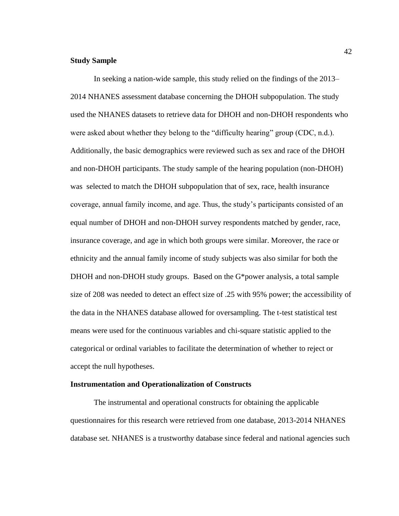### **Study Sample**

In seeking a nation-wide sample, this study relied on the findings of the 2013– 2014 NHANES assessment database concerning the DHOH subpopulation. The study used the NHANES datasets to retrieve data for DHOH and non-DHOH respondents who were asked about whether they belong to the "difficulty hearing" group (CDC, n.d.). Additionally, the basic demographics were reviewed such as sex and race of the DHOH and non-DHOH participants. The study sample of the hearing population (non-DHOH) was selected to match the DHOH subpopulation that of sex, race, health insurance coverage, annual family income, and age. Thus, the study's participants consisted of an equal number of DHOH and non-DHOH survey respondents matched by gender, race, insurance coverage, and age in which both groups were similar. Moreover, the race or ethnicity and the annual family income of study subjects was also similar for both the DHOH and non-DHOH study groups. Based on the G\*power analysis, a total sample size of 208 was needed to detect an effect size of .25 with 95% power; the accessibility of the data in the NHANES database allowed for oversampling. The t-test statistical test means were used for the continuous variables and chi-square statistic applied to the categorical or ordinal variables to facilitate the determination of whether to reject or accept the null hypotheses.

#### **Instrumentation and Operationalization of Constructs**

The instrumental and operational constructs for obtaining the applicable questionnaires for this research were retrieved from one database, 2013-2014 NHANES database set. NHANES is a trustworthy database since federal and national agencies such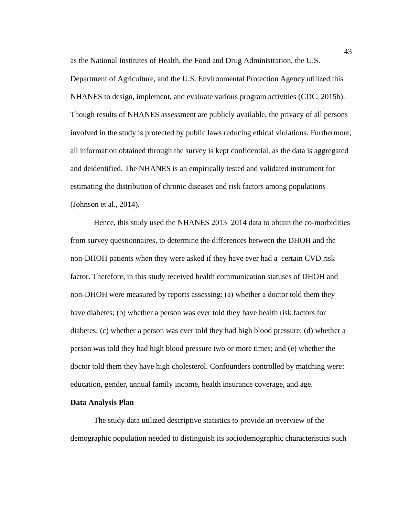as the National Institutes of Health, the Food and Drug Administration, the U.S. Department of Agriculture, and the U.S. Environmental Protection Agency utilized this NHANES to design, implement, and evaluate various program activities (CDC, 2015b). Though results of NHANES assessment are publicly available, the privacy of all persons involved in the study is protected by public laws reducing ethical violations. Furthermore, all information obtained through the survey is kept confidential, as the data is aggregated and deidentified. The NHANES is an empirically tested and validated instrument for estimating the distribution of chronic diseases and risk factors among populations (Johnson et al., 2014).

Hence, this study used the NHANES 2013–2014 data to obtain the co-morbidities from survey questionnaires, to determine the differences between the DHOH and the non-DHOH patients when they were asked if they have ever had a certain CVD risk factor. Therefore, in this study received health communication statuses of DHOH and non-DHOH were measured by reports assessing: (a) whether a doctor told them they have diabetes; (b) whether a person was ever told they have health risk factors for diabetes; (c) whether a person was ever told they had high blood pressure; (d) whether a person was told they had high blood pressure two or more times; and (e) whether the doctor told them they have high cholesterol. Confounders controlled by matching were: education, gender, annual family income, health insurance coverage, and age.

#### **Data Analysis Plan**

The study data utilized descriptive statistics to provide an overview of the demographic population needed to distinguish its sociodemographic characteristics such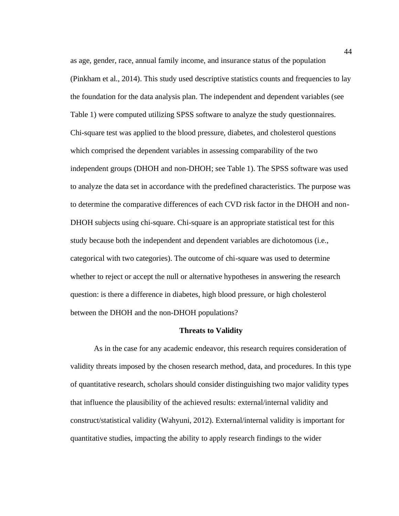as age, gender, race, annual family income, and insurance status of the population (Pinkham et al., 2014). This study used descriptive statistics counts and frequencies to lay the foundation for the data analysis plan. The independent and dependent variables (see Table 1) were computed utilizing SPSS software to analyze the study questionnaires. Chi-square test was applied to the blood pressure, diabetes, and cholesterol questions which comprised the dependent variables in assessing comparability of the two independent groups (DHOH and non-DHOH; see Table 1). The SPSS software was used to analyze the data set in accordance with the predefined characteristics. The purpose was to determine the comparative differences of each CVD risk factor in the DHOH and non-DHOH subjects using chi-square. Chi-square is an appropriate statistical test for this study because both the independent and dependent variables are dichotomous (i.e., categorical with two categories). The outcome of chi-square was used to determine whether to reject or accept the null or alternative hypotheses in answering the research question: is there a difference in diabetes, high blood pressure, or high cholesterol between the DHOH and the non-DHOH populations?

#### **Threats to Validity**

As in the case for any academic endeavor, this research requires consideration of validity threats imposed by the chosen research method, data, and procedures. In this type of quantitative research, scholars should consider distinguishing two major validity types that influence the plausibility of the achieved results: external/internal validity and construct/statistical validity (Wahyuni, 2012). External/internal validity is important for quantitative studies, impacting the ability to apply research findings to the wider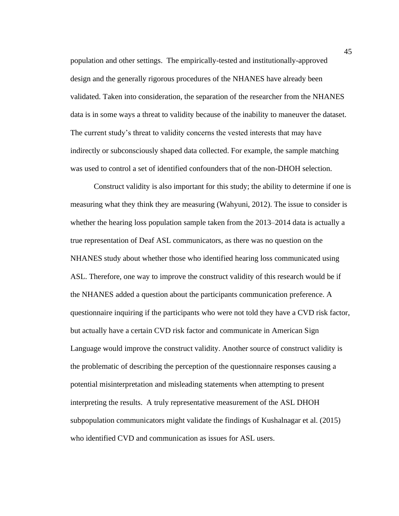population and other settings. The empirically-tested and institutionally-approved design and the generally rigorous procedures of the NHANES have already been validated. Taken into consideration, the separation of the researcher from the NHANES data is in some ways a threat to validity because of the inability to maneuver the dataset. The current study's threat to validity concerns the vested interests that may have indirectly or subconsciously shaped data collected. For example, the sample matching was used to control a set of identified confounders that of the non-DHOH selection.

Construct validity is also important for this study; the ability to determine if one is measuring what they think they are measuring (Wahyuni, 2012). The issue to consider is whether the hearing loss population sample taken from the 2013–2014 data is actually a true representation of Deaf ASL communicators, as there was no question on the NHANES study about whether those who identified hearing loss communicated using ASL. Therefore, one way to improve the construct validity of this research would be if the NHANES added a question about the participants communication preference. A questionnaire inquiring if the participants who were not told they have a CVD risk factor, but actually have a certain CVD risk factor and communicate in American Sign Language would improve the construct validity. Another source of construct validity is the problematic of describing the perception of the questionnaire responses causing a potential misinterpretation and misleading statements when attempting to present interpreting the results. A truly representative measurement of the ASL DHOH subpopulation communicators might validate the findings of Kushalnagar et al. (2015) who identified CVD and communication as issues for ASL users.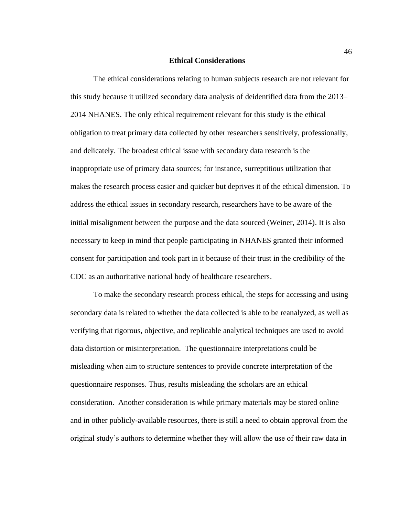#### **Ethical Considerations**

The ethical considerations relating to human subjects research are not relevant for this study because it utilized secondary data analysis of deidentified data from the 2013– 2014 NHANES. The only ethical requirement relevant for this study is the ethical obligation to treat primary data collected by other researchers sensitively, professionally, and delicately. The broadest ethical issue with secondary data research is the inappropriate use of primary data sources; for instance, surreptitious utilization that makes the research process easier and quicker but deprives it of the ethical dimension. To address the ethical issues in secondary research, researchers have to be aware of the initial misalignment between the purpose and the data sourced (Weiner, 2014). It is also necessary to keep in mind that people participating in NHANES granted their informed consent for participation and took part in it because of their trust in the credibility of the CDC as an authoritative national body of healthcare researchers.

To make the secondary research process ethical, the steps for accessing and using secondary data is related to whether the data collected is able to be reanalyzed, as well as verifying that rigorous, objective, and replicable analytical techniques are used to avoid data distortion or misinterpretation. The questionnaire interpretations could be misleading when aim to structure sentences to provide concrete interpretation of the questionnaire responses. Thus, results misleading the scholars are an ethical consideration. Another consideration is while primary materials may be stored online and in other publicly-available resources, there is still a need to obtain approval from the original study's authors to determine whether they will allow the use of their raw data in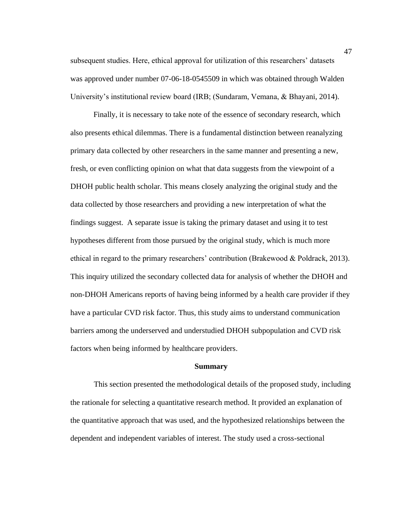subsequent studies. Here, ethical approval for utilization of this researchers' datasets was approved under number 07-06-18-0545509 in which was obtained through Walden University's institutional review board (IRB; (Sundaram, Vemana, & Bhayani, 2014).

Finally, it is necessary to take note of the essence of secondary research, which also presents ethical dilemmas. There is a fundamental distinction between reanalyzing primary data collected by other researchers in the same manner and presenting a new, fresh, or even conflicting opinion on what that data suggests from the viewpoint of a DHOH public health scholar. This means closely analyzing the original study and the data collected by those researchers and providing a new interpretation of what the findings suggest. A separate issue is taking the primary dataset and using it to test hypotheses different from those pursued by the original study, which is much more ethical in regard to the primary researchers' contribution (Brakewood & Poldrack, 2013). This inquiry utilized the secondary collected data for analysis of whether the DHOH and non-DHOH Americans reports of having being informed by a health care provider if they have a particular CVD risk factor. Thus, this study aims to understand communication barriers among the underserved and understudied DHOH subpopulation and CVD risk factors when being informed by healthcare providers.

#### **Summary**

This section presented the methodological details of the proposed study, including the rationale for selecting a quantitative research method. It provided an explanation of the quantitative approach that was used, and the hypothesized relationships between the dependent and independent variables of interest. The study used a cross-sectional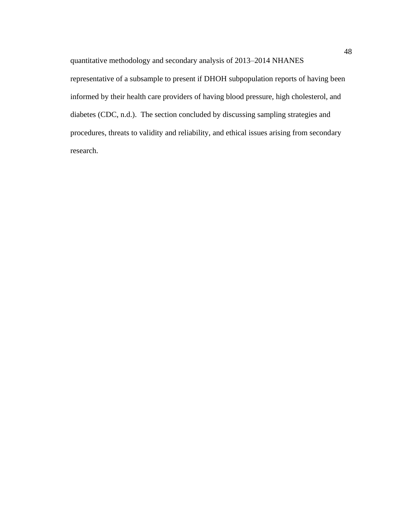quantitative methodology and secondary analysis of 2013–2014 NHANES representative of a subsample to present if DHOH subpopulation reports of having been informed by their health care providers of having blood pressure, high cholesterol, and diabetes (CDC, n.d.). The section concluded by discussing sampling strategies and procedures, threats to validity and reliability, and ethical issues arising from secondary research.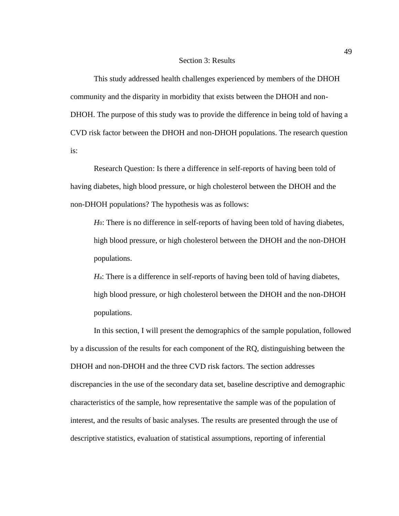#### Section 3: Results

This study addressed health challenges experienced by members of the DHOH community and the disparity in morbidity that exists between the DHOH and non-DHOH. The purpose of this study was to provide the difference in being told of having a CVD risk factor between the DHOH and non-DHOH populations. The research question is:

Research Question: Is there a difference in self-reports of having been told of having diabetes, high blood pressure, or high cholesterol between the DHOH and the non-DHOH populations? The hypothesis was as follows:

*H*<sub>0</sub>: There is no difference in self-reports of having been told of having diabetes, high blood pressure, or high cholesterol between the DHOH and the non-DHOH populations.

*H*a: There is a difference in self-reports of having been told of having diabetes, high blood pressure, or high cholesterol between the DHOH and the non-DHOH populations.

In this section, I will present the demographics of the sample population, followed by a discussion of the results for each component of the RQ, distinguishing between the DHOH and non-DHOH and the three CVD risk factors. The section addresses discrepancies in the use of the secondary data set, baseline descriptive and demographic characteristics of the sample, how representative the sample was of the population of interest, and the results of basic analyses. The results are presented through the use of descriptive statistics, evaluation of statistical assumptions, reporting of inferential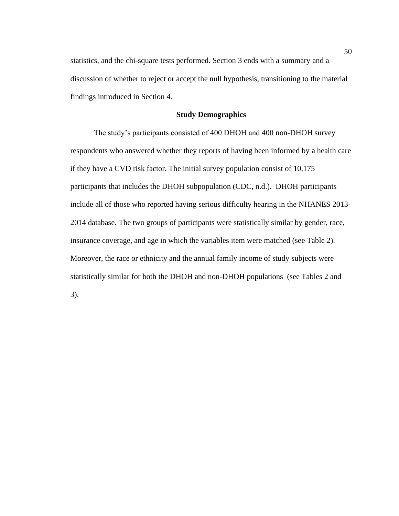statistics, and the chi-square tests performed. Section 3 ends with a summary and a discussion of whether to reject or accept the null hypothesis, transitioning to the material findings introduced in Section 4.

## **Study Demographics**

The study's participants consisted of 400 DHOH and 400 non-DHOH survey respondents who answered whether they reports of having been informed by a health care if they have a CVD risk factor. The initial survey population consist of 10,175 participants that includes the DHOH subpopulation (CDC, n.d.). DHOH participants include all of those who reported having serious difficulty hearing in the NHANES 2013- 2014 database. The two groups of participants were statistically similar by gender, race, insurance coverage, and age in which the variables item were matched (see Table 2). Moreover, the race or ethnicity and the annual family income of study subjects were statistically similar for both the DHOH and non-DHOH populations (see Tables 2 and 3).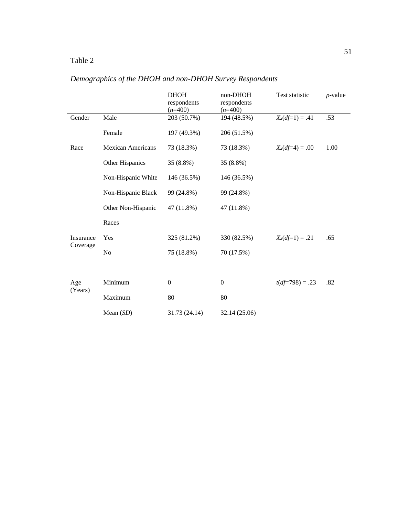## Table 2

|           |                          | <b>DHOH</b><br>respondents<br>$(n=400)$ | non-DHOH<br>respondents<br>$(n=400)$ | Test statistic    | $p$ -value |
|-----------|--------------------------|-----------------------------------------|--------------------------------------|-------------------|------------|
| Gender    | Male                     | 203 (50.7%)                             | 194 (48.5%)                          | $X_2(df=1) = .41$ | .53        |
|           | Female                   | 197 (49.3%)                             | 206 (51.5%)                          |                   |            |
| Race      | <b>Mexican Americans</b> | 73 (18.3%)                              | 73 (18.3%)                           | $X_2(df=4) = .00$ | 1.00       |
|           | Other Hispanics          | 35 (8.8%)                               | 35 (8.8%)                            |                   |            |
|           | Non-Hispanic White       | 146 (36.5%)                             | 146 (36.5%)                          |                   |            |
|           | Non-Hispanic Black       | 99 (24.8%)                              | 99 (24.8%)                           |                   |            |
|           | Other Non-Hispanic       | 47 (11.8%)                              | 47 (11.8%)                           |                   |            |
|           | Races                    |                                         |                                      |                   |            |
| Insurance | Yes                      | 325 (81.2%)                             | 330 (82.5%)                          | $X_2(df=1) = .21$ | .65        |
| Coverage  | N <sub>0</sub>           | 75 (18.8%)                              | 70 (17.5%)                           |                   |            |
|           |                          |                                         |                                      |                   |            |
| Age       | Minimum                  | $\mathbf{0}$                            | $\boldsymbol{0}$                     | $t(df=798) = .23$ | .82        |
| (Years)   | Maximum                  | 80                                      | 80                                   |                   |            |
|           | Mean $(SD)$              | 31.73 (24.14)                           | 32.14 (25.06)                        |                   |            |
|           |                          |                                         |                                      |                   |            |

# *Demographics of the DHOH and non-DHOH Survey Respondents*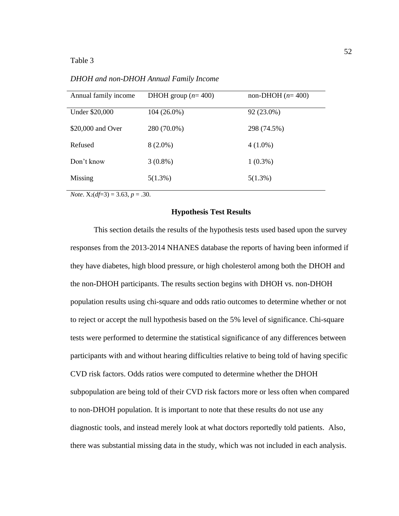#### Table 3

*DHOH and non-DHOH Annual Family Income*

| Annual family income | DHOH group $(n=400)$ | non-DHOH $(n=400)$ |
|----------------------|----------------------|--------------------|
| Under \$20,000       | $104(26.0\%)$        | 92 (23.0%)         |
| \$20,000 and Over    | 280 (70.0%)          | 298 (74.5%)        |
| Refused              | $8(2.0\%)$           | $4(1.0\%)$         |
| Don't know           | $3(0.8\%)$           | $1(0.3\%)$         |
| Missing              | $5(1.3\%)$           | $5(1.3\%)$         |

*Note*.  $X_2(df=3) = 3.63, p = .30$ .

#### **Hypothesis Test Results**

This section details the results of the hypothesis tests used based upon the survey responses from the 2013-2014 NHANES database the reports of having been informed if they have diabetes, high blood pressure, or high cholesterol among both the DHOH and the non-DHOH participants. The results section begins with DHOH vs. non-DHOH population results using chi-square and odds ratio outcomes to determine whether or not to reject or accept the null hypothesis based on the 5% level of significance. Chi-square tests were performed to determine the statistical significance of any differences between participants with and without hearing difficulties relative to being told of having specific CVD risk factors. Odds ratios were computed to determine whether the DHOH subpopulation are being told of their CVD risk factors more or less often when compared to non-DHOH population. It is important to note that these results do not use any diagnostic tools, and instead merely look at what doctors reportedly told patients. Also, there was substantial missing data in the study, which was not included in each analysis.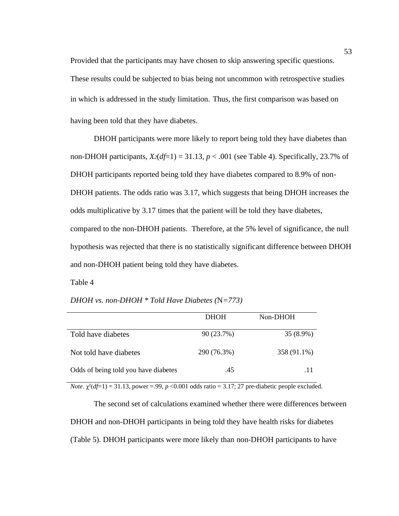Provided that the participants may have chosen to skip answering specific questions. These results could be subjected to bias being not uncommon with retrospective studies in which is addressed in the study limitation. Thus, the first comparison was based on having been told that they have diabetes.

DHOH participants were more likely to report being told they have diabetes than non-DHOH participants,  $X_2(df=1) = 31.13$ ,  $p < .001$  (see Table 4). Specifically, 23.7% of DHOH participants reported being told they have diabetes compared to 8.9% of non-DHOH patients. The odds ratio was 3.17, which suggests that being DHOH increases the odds multiplicative by 3.17 times that the patient will be told they have diabetes, compared to the non-DHOH patients. Therefore, at the 5% level of significance, the null hypothesis was rejected that there is no statistically significant difference between DHOH and non-DHOH patient being told they have diabetes.

Table 4

*DHOH vs. non-DHOH \* Told Have Diabetes (*N*=773)*

|                                      | <b>DHOH</b> | Non-DHOH    |
|--------------------------------------|-------------|-------------|
| Told have diabetes                   | 90 (23.7%)  | $35(8.9\%)$ |
| Not told have diabetes               | 290 (76.3%) | 358 (91.1%) |
| Odds of being told you have diabetes | .45         | .11         |

*Note*.  $\chi^2(df=1) = 31.13$ , power =.99, *p* <0.001 odds ratio = 3.17; 27 pre-diabetic people excluded.

The second set of calculations examined whether there were differences between DHOH and non-DHOH participants in being told they have health risks for diabetes (Table 5). DHOH participants were more likely than non-DHOH participants to have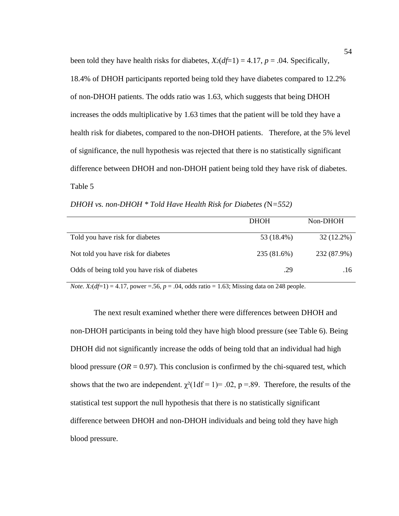been told they have health risks for diabetes,  $X_2(df=1) = 4.17$ ,  $p = .04$ . Specifically, 18.4% of DHOH participants reported being told they have diabetes compared to 12.2% of non-DHOH patients. The odds ratio was 1.63, which suggests that being DHOH increases the odds multiplicative by 1.63 times that the patient will be told they have a health risk for diabetes, compared to the non-DHOH patients. Therefore, at the 5% level of significance, the null hypothesis was rejected that there is no statistically significant difference between DHOH and non-DHOH patient being told they have risk of diabetes. Table 5

*DHOH vs. non-DHOH \* Told Have Health Risk for Diabetes (*N*=552)*

|                                              | <b>DHOH</b> | Non-DHOH     |
|----------------------------------------------|-------------|--------------|
| Told you have risk for diabetes              | 53 (18.4%)  | $32(12.2\%)$ |
| Not told you have risk for diabetes          | 235 (81.6%) | 232 (87.9%)  |
| Odds of being told you have risk of diabetes | .29         | .16          |

*Note.*  $X_2(df=1) = 4.17$ , power =.56,  $p = .04$ , odds ratio = 1.63; Missing data on 248 people.

The next result examined whether there were differences between DHOH and non-DHOH participants in being told they have high blood pressure (see Table 6). Being DHOH did not significantly increase the odds of being told that an individual had high blood pressure ( $OR = 0.97$ ). This conclusion is confirmed by the chi-squared test, which shows that the two are independent.  $\chi^2(1df = 1) = .02$ , p =.89. Therefore, the results of the statistical test support the null hypothesis that there is no statistically significant difference between DHOH and non-DHOH individuals and being told they have high blood pressure.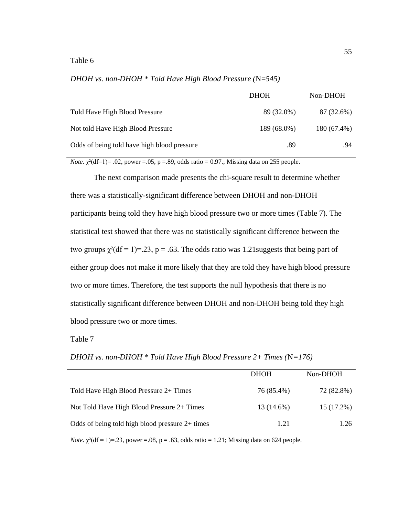|                                             | <b>DHOH</b> | Non-DHOH    |
|---------------------------------------------|-------------|-------------|
| Told Have High Blood Pressure               | 89 (32.0%)  | 87 (32.6%)  |
| Not told Have High Blood Pressure           | 189 (68.0%) | 180 (67.4%) |
| Odds of being told have high blood pressure | .89         | .94         |

*DHOH vs. non-DHOH \* Told Have High Blood Pressure (*N=*545)*

*Note.*  $\gamma^2$ (df=1)= .02, power =.05, p =.89, odds ratio = 0.97.; Missing data on 255 people.

The next comparison made presents the chi-square result to determine whether there was a statistically-significant difference between DHOH and non-DHOH participants being told they have high blood pressure two or more times (Table 7). The statistical test showed that there was no statistically significant difference between the two groups  $\chi^2(df = 1) = .23$ , p = .63. The odds ratio was 1.21 suggests that being part of either group does not make it more likely that they are told they have high blood pressure two or more times. Therefore, the test supports the null hypothesis that there is no statistically significant difference between DHOH and non-DHOH being told they high blood pressure two or more times.

#### Table 7

DHOH Non-DHOH Told Have High Blood Pressure  $2+$  Times  $76 (85.4%)$   $72 (82.8%)$ Not Told Have High Blood Pressure  $2+$  Times 13 (14.6%) 15 (17.2%) Odds of being told high blood pressure  $2+$  times 1.21 1.26

*DHOH vs. non-DHOH \* Told Have High Blood Pressure 2+ Times (*N*=176)*

*Note*.  $\chi^2$ (df = 1)=.23, power =.08, p = .63, odds ratio = 1.21; Missing data on 624 people.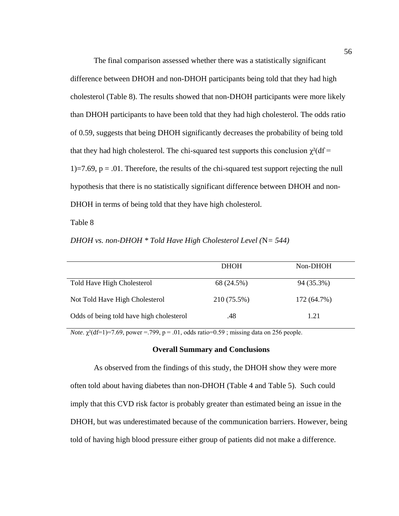The final comparison assessed whether there was a statistically significant difference between DHOH and non-DHOH participants being told that they had high cholesterol (Table 8). The results showed that non-DHOH participants were more likely than DHOH participants to have been told that they had high cholesterol. The odds ratio of 0.59, suggests that being DHOH significantly decreases the probability of being told that they had high cholesterol. The chi-squared test supports this conclusion  $\chi^2$  (df = 1)=7.69,  $p = 0.01$ . Therefore, the results of the chi-squared test support rejecting the null hypothesis that there is no statistically significant difference between DHOH and non-DHOH in terms of being told that they have high cholesterol.

#### Table 8

| DHOH vs. non-DHOH $*$ Told Have High Cholesterol Level ( $N = 544$ ) |  |  |  |
|----------------------------------------------------------------------|--|--|--|
|----------------------------------------------------------------------|--|--|--|

|                                          | <b>DHOH</b> | Non-DHOH    |
|------------------------------------------|-------------|-------------|
| Told Have High Cholesterol               | 68 (24.5%)  | 94 (35.3%)  |
| Not Told Have High Cholesterol           | 210 (75.5%) | 172 (64.7%) |
| Odds of being told have high cholesterol | .48         | 1.21        |

*Note*.  $\chi^2$ (df=1)=7.69, power =.799, p = .01, odds ratio=0.59; missing data on 256 people.

#### **Overall Summary and Conclusions**

As observed from the findings of this study, the DHOH show they were more often told about having diabetes than non-DHOH (Table 4 and Table 5). Such could imply that this CVD risk factor is probably greater than estimated being an issue in the DHOH, but was underestimated because of the communication barriers. However, being told of having high blood pressure either group of patients did not make a difference.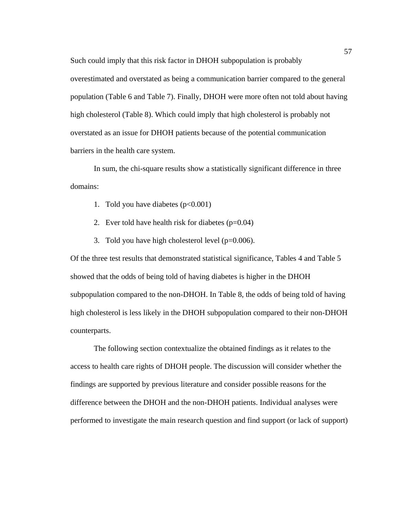Such could imply that this risk factor in DHOH subpopulation is probably overestimated and overstated as being a communication barrier compared to the general population (Table 6 and Table 7). Finally, DHOH were more often not told about having high cholesterol (Table 8). Which could imply that high cholesterol is probably not overstated as an issue for DHOH patients because of the potential communication barriers in the health care system.

In sum, the chi-square results show a statistically significant difference in three domains:

- 1. Told you have diabetes  $(p<0.001)$
- 2. Ever told have health risk for diabetes  $(p=0.04)$
- 3. Told you have high cholesterol level  $(p=0.006)$ .

Of the three test results that demonstrated statistical significance, Tables 4 and Table 5 showed that the odds of being told of having diabetes is higher in the DHOH subpopulation compared to the non-DHOH. In Table 8, the odds of being told of having high cholesterol is less likely in the DHOH subpopulation compared to their non-DHOH counterparts.

The following section contextualize the obtained findings as it relates to the access to health care rights of DHOH people. The discussion will consider whether the findings are supported by previous literature and consider possible reasons for the difference between the DHOH and the non-DHOH patients. Individual analyses were performed to investigate the main research question and find support (or lack of support)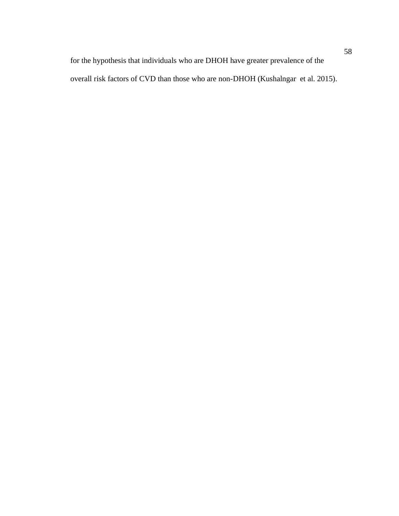for the hypothesis that individuals who are DHOH have greater prevalence of the overall risk factors of CVD than those who are non-DHOH (Kushalngar et al. 2015).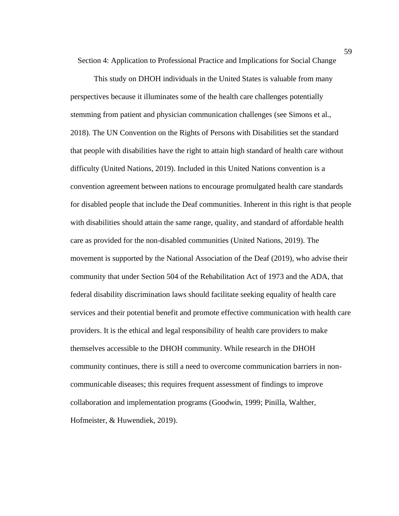Section 4: Application to Professional Practice and Implications for Social Change

This study on DHOH individuals in the United States is valuable from many perspectives because it illuminates some of the health care challenges potentially stemming from patient and physician communication challenges (see Simons et al., 2018). The UN Convention on the Rights of Persons with Disabilities set the standard that people with disabilities have the right to attain high standard of health care without difficulty (United Nations, 2019). Included in this United Nations convention is a convention agreement between nations to encourage promulgated health care standards for disabled people that include the Deaf communities. Inherent in this right is that people with disabilities should attain the same range, quality, and standard of affordable health care as provided for the non-disabled communities (United Nations, 2019). The movement is supported by the National Association of the Deaf (2019), who advise their community that under Section 504 of the Rehabilitation Act of 1973 and the ADA, that federal disability discrimination laws should facilitate seeking equality of health care services and their potential benefit and promote effective communication with health care providers. It is the ethical and legal responsibility of health care providers to make themselves accessible to the DHOH community. While research in the DHOH community continues, there is still a need to overcome communication barriers in noncommunicable diseases; this requires frequent assessment of findings to improve collaboration and implementation programs (Goodwin, 1999; Pinilla, Walther, Hofmeister, & Huwendiek, 2019).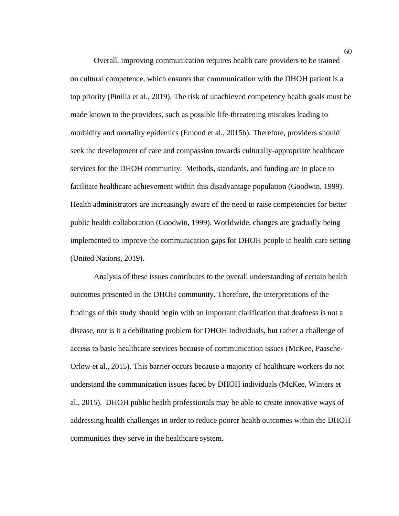Overall, improving communication requires health care providers to be trained on cultural competence, which ensures that communication with the DHOH patient is a top priority (Pinilla et al., 2019). The risk of unachieved competency health goals must be made known to the providers, such as possible life-threatening mistakes leading to morbidity and mortality epidemics (Emond et al., 2015b). Therefore, providers should seek the development of care and compassion towards culturally-appropriate healthcare services for the DHOH community. Methods, standards, and funding are in place to facilitate healthcare achievement within this disadvantage population (Goodwin, 1999). Health administrators are increasingly aware of the need to raise competencies for better public health collaboration (Goodwin, 1999). Worldwide, changes are gradually being implemented to improve the communication gaps for DHOH people in health care setting (United Nations, 2019).

Analysis of these issues contributes to the overall understanding of certain health outcomes presented in the DHOH community. Therefore, the interpretations of the findings of this study should begin with an important clarification that deafness is not a disease, nor is it a debilitating problem for DHOH individuals, but rather a challenge of access to basic healthcare services because of communication issues (McKee, Paasche-Orlow et al., 2015). This barrier occurs because a majority of healthcare workers do not understand the communication issues faced by DHOH individuals (McKee, Winters et al., 2015). DHOH public health professionals may be able to create innovative ways of addressing health challenges in order to reduce poorer health outcomes within the DHOH communities they serve in the healthcare system.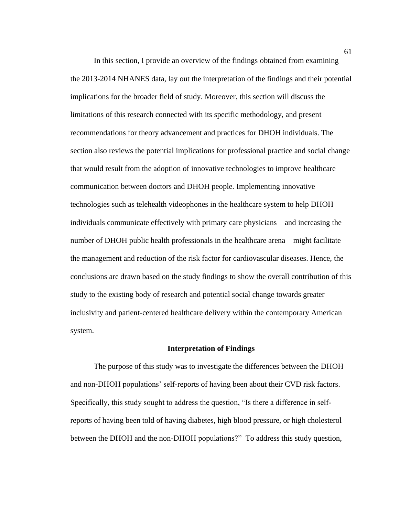In this section, I provide an overview of the findings obtained from examining the 2013-2014 NHANES data, lay out the interpretation of the findings and their potential implications for the broader field of study. Moreover, this section will discuss the limitations of this research connected with its specific methodology, and present recommendations for theory advancement and practices for DHOH individuals. The section also reviews the potential implications for professional practice and social change that would result from the adoption of innovative technologies to improve healthcare communication between doctors and DHOH people. Implementing innovative technologies such as telehealth videophones in the healthcare system to help DHOH individuals communicate effectively with primary care physicians—and increasing the number of DHOH public health professionals in the healthcare arena—might facilitate the management and reduction of the risk factor for cardiovascular diseases. Hence, the conclusions are drawn based on the study findings to show the overall contribution of this study to the existing body of research and potential social change towards greater inclusivity and patient-centered healthcare delivery within the contemporary American system.

#### **Interpretation of Findings**

The purpose of this study was to investigate the differences between the DHOH and non-DHOH populations' self-reports of having been about their CVD risk factors. Specifically, this study sought to address the question, "Is there a difference in selfreports of having been told of having diabetes, high blood pressure, or high cholesterol between the DHOH and the non-DHOH populations?" To address this study question,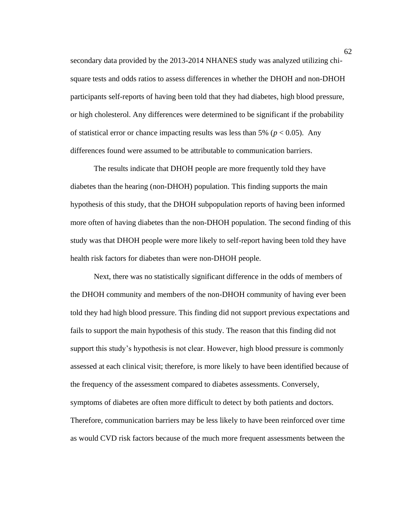secondary data provided by the 2013-2014 NHANES study was analyzed utilizing chisquare tests and odds ratios to assess differences in whether the DHOH and non-DHOH participants self-reports of having been told that they had diabetes, high blood pressure, or high cholesterol. Any differences were determined to be significant if the probability of statistical error or chance impacting results was less than 5% ( $p < 0.05$ ). Any differences found were assumed to be attributable to communication barriers.

The results indicate that DHOH people are more frequently told they have diabetes than the hearing (non-DHOH) population. This finding supports the main hypothesis of this study, that the DHOH subpopulation reports of having been informed more often of having diabetes than the non-DHOH population. The second finding of this study was that DHOH people were more likely to self-report having been told they have health risk factors for diabetes than were non-DHOH people.

Next, there was no statistically significant difference in the odds of members of the DHOH community and members of the non-DHOH community of having ever been told they had high blood pressure. This finding did not support previous expectations and fails to support the main hypothesis of this study. The reason that this finding did not support this study's hypothesis is not clear. However, high blood pressure is commonly assessed at each clinical visit; therefore, is more likely to have been identified because of the frequency of the assessment compared to diabetes assessments. Conversely, symptoms of diabetes are often more difficult to detect by both patients and doctors. Therefore, communication barriers may be less likely to have been reinforced over time as would CVD risk factors because of the much more frequent assessments between the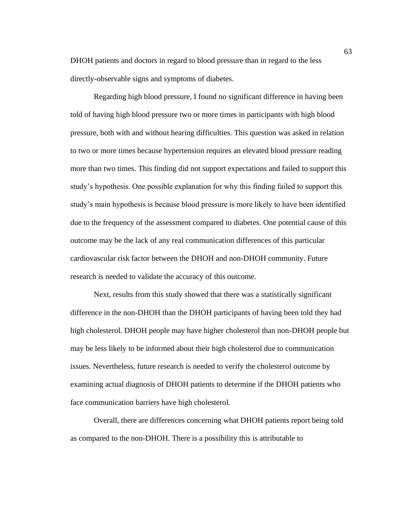DHOH patients and doctors in regard to blood pressure than in regard to the less directly-observable signs and symptoms of diabetes.

Regarding high blood pressure, I found no significant difference in having been told of having high blood pressure two or more times in participants with high blood pressure, both with and without hearing difficulties. This question was asked in relation to two or more times because hypertension requires an elevated blood pressure reading more than two times. This finding did not support expectations and failed to support this study's hypothesis. One possible explanation for why this finding failed to support this study's main hypothesis is because blood pressure is more likely to have been identified due to the frequency of the assessment compared to diabetes. One potential cause of this outcome may be the lack of any real communication differences of this particular cardiovascular risk factor between the DHOH and non-DHOH community. Future research is needed to validate the accuracy of this outcome.

Next, results from this study showed that there was a statistically significant difference in the non-DHOH than the DHOH participants of having been told they had high cholesterol. DHOH people may have higher cholesterol than non-DHOH people but may be less likely to be informed about their high cholesterol due to communication issues. Nevertheless, future research is needed to verify the cholesterol outcome by examining actual diagnosis of DHOH patients to determine if the DHOH patients who face communication barriers have high cholesterol.

Overall, there are differences concerning what DHOH patients report being told as compared to the non-DHOH. There is a possibility this is attributable to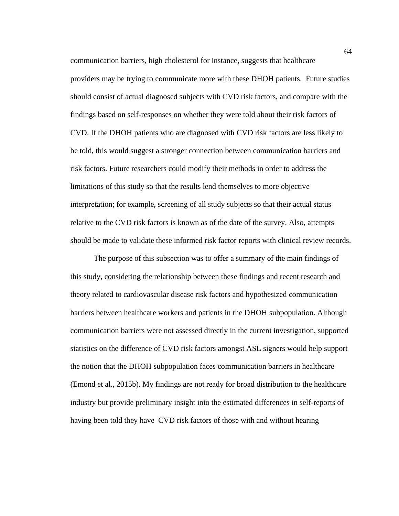communication barriers, high cholesterol for instance, suggests that healthcare providers may be trying to communicate more with these DHOH patients. Future studies should consist of actual diagnosed subjects with CVD risk factors, and compare with the findings based on self-responses on whether they were told about their risk factors of CVD. If the DHOH patients who are diagnosed with CVD risk factors are less likely to be told, this would suggest a stronger connection between communication barriers and risk factors. Future researchers could modify their methods in order to address the limitations of this study so that the results lend themselves to more objective interpretation; for example, screening of all study subjects so that their actual status relative to the CVD risk factors is known as of the date of the survey. Also, attempts should be made to validate these informed risk factor reports with clinical review records.

The purpose of this subsection was to offer a summary of the main findings of this study, considering the relationship between these findings and recent research and theory related to cardiovascular disease risk factors and hypothesized communication barriers between healthcare workers and patients in the DHOH subpopulation. Although communication barriers were not assessed directly in the current investigation, supported statistics on the difference of CVD risk factors amongst ASL signers would help support the notion that the DHOH subpopulation faces communication barriers in healthcare (Emond et al., 2015b). My findings are not ready for broad distribution to the healthcare industry but provide preliminary insight into the estimated differences in self-reports of having been told they have CVD risk factors of those with and without hearing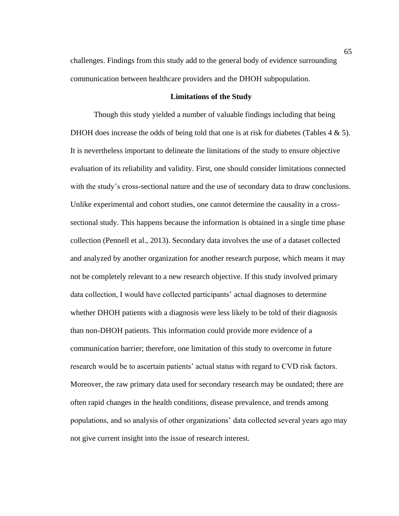challenges. Findings from this study add to the general body of evidence surrounding communication between healthcare providers and the DHOH subpopulation.

## **Limitations of the Study**

Though this study yielded a number of valuable findings including that being DHOH does increase the odds of being told that one is at risk for diabetes (Tables  $4 \& 5$ ). It is nevertheless important to delineate the limitations of the study to ensure objective evaluation of its reliability and validity. First, one should consider limitations connected with the study's cross-sectional nature and the use of secondary data to draw conclusions. Unlike experimental and cohort studies, one cannot determine the causality in a crosssectional study. This happens because the information is obtained in a single time phase collection (Pennell et al., 2013). Secondary data involves the use of a dataset collected and analyzed by another organization for another research purpose, which means it may not be completely relevant to a new research objective. If this study involved primary data collection, I would have collected participants' actual diagnoses to determine whether DHOH patients with a diagnosis were less likely to be told of their diagnosis than non-DHOH patients. This information could provide more evidence of a communication barrier; therefore, one limitation of this study to overcome in future research would be to ascertain patients' actual status with regard to CVD risk factors. Moreover, the raw primary data used for secondary research may be outdated; there are often rapid changes in the health conditions, disease prevalence, and trends among populations, and so analysis of other organizations' data collected several years ago may not give current insight into the issue of research interest.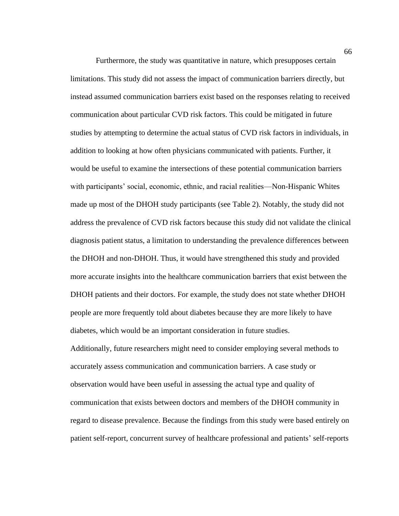Furthermore, the study was quantitative in nature, which presupposes certain limitations. This study did not assess the impact of communication barriers directly, but instead assumed communication barriers exist based on the responses relating to received communication about particular CVD risk factors. This could be mitigated in future studies by attempting to determine the actual status of CVD risk factors in individuals, in addition to looking at how often physicians communicated with patients. Further, it would be useful to examine the intersections of these potential communication barriers with participants' social, economic, ethnic, and racial realities—Non-Hispanic Whites made up most of the DHOH study participants (see Table 2). Notably, the study did not address the prevalence of CVD risk factors because this study did not validate the clinical diagnosis patient status, a limitation to understanding the prevalence differences between the DHOH and non-DHOH. Thus, it would have strengthened this study and provided more accurate insights into the healthcare communication barriers that exist between the DHOH patients and their doctors. For example, the study does not state whether DHOH people are more frequently told about diabetes because they are more likely to have diabetes, which would be an important consideration in future studies. Additionally, future researchers might need to consider employing several methods to accurately assess communication and communication barriers. A case study or observation would have been useful in assessing the actual type and quality of communication that exists between doctors and members of the DHOH community in regard to disease prevalence. Because the findings from this study were based entirely on patient self-report, concurrent survey of healthcare professional and patients' self-reports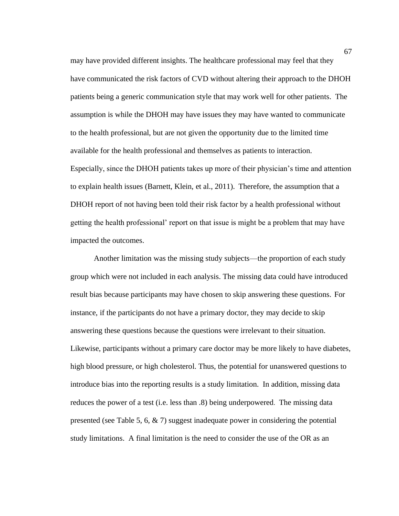may have provided different insights. The healthcare professional may feel that they have communicated the risk factors of CVD without altering their approach to the DHOH patients being a generic communication style that may work well for other patients. The assumption is while the DHOH may have issues they may have wanted to communicate to the health professional, but are not given the opportunity due to the limited time available for the health professional and themselves as patients to interaction. Especially, since the DHOH patients takes up more of their physician's time and attention to explain health issues (Barnett, Klein, et al., 2011). Therefore, the assumption that a DHOH report of not having been told their risk factor by a health professional without getting the health professional' report on that issue is might be a problem that may have impacted the outcomes.

Another limitation was the missing study subjects—the proportion of each study group which were not included in each analysis. The missing data could have introduced result bias because participants may have chosen to skip answering these questions. For instance, if the participants do not have a primary doctor, they may decide to skip answering these questions because the questions were irrelevant to their situation. Likewise, participants without a primary care doctor may be more likely to have diabetes, high blood pressure, or high cholesterol. Thus, the potential for unanswered questions to introduce bias into the reporting results is a study limitation. In addition, missing data reduces the power of a test (i.e. less than .8) being underpowered. The missing data presented (see Table 5, 6, & 7) suggest inadequate power in considering the potential study limitations. A final limitation is the need to consider the use of the OR as an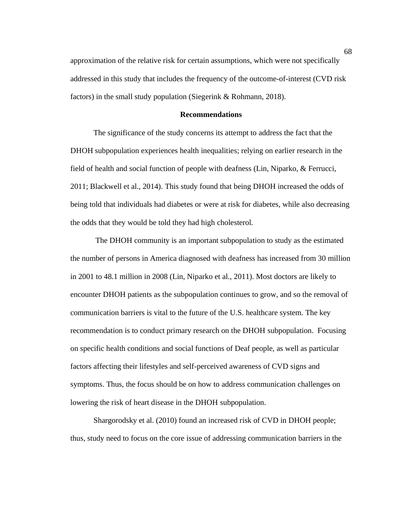approximation of the relative risk for certain assumptions, which were not specifically addressed in this study that includes the frequency of the outcome-of-interest (CVD risk factors) in the small study population (Siegerink & Rohmann, 2018).

## **Recommendations**

The significance of the study concerns its attempt to address the fact that the DHOH subpopulation experiences health inequalities; relying on earlier research in the field of health and social function of people with deafness (Lin, Niparko, & Ferrucci, 2011; Blackwell et al., 2014). This study found that being DHOH increased the odds of being told that individuals had diabetes or were at risk for diabetes, while also decreasing the odds that they would be told they had high cholesterol.

The DHOH community is an important subpopulation to study as the estimated the number of persons in America diagnosed with deafness has increased from 30 million in 2001 to 48.1 million in 2008 (Lin, Niparko et al., 2011). Most doctors are likely to encounter DHOH patients as the subpopulation continues to grow, and so the removal of communication barriers is vital to the future of the U.S. healthcare system. The key recommendation is to conduct primary research on the DHOH subpopulation. Focusing on specific health conditions and social functions of Deaf people, as well as particular factors affecting their lifestyles and self-perceived awareness of CVD signs and symptoms. Thus, the focus should be on how to address communication challenges on lowering the risk of heart disease in the DHOH subpopulation.

Shargorodsky et al. (2010) found an increased risk of CVD in DHOH people; thus, study need to focus on the core issue of addressing communication barriers in the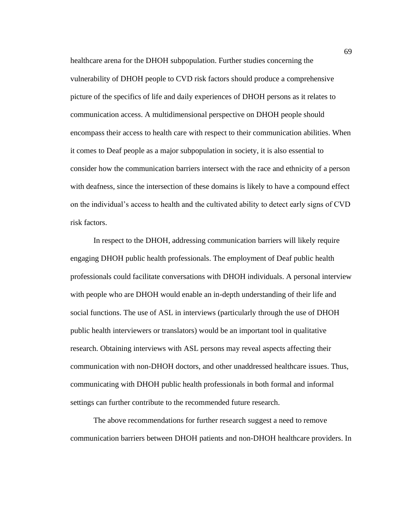healthcare arena for the DHOH subpopulation. Further studies concerning the vulnerability of DHOH people to CVD risk factors should produce a comprehensive picture of the specifics of life and daily experiences of DHOH persons as it relates to communication access. A multidimensional perspective on DHOH people should encompass their access to health care with respect to their communication abilities. When it comes to Deaf people as a major subpopulation in society, it is also essential to consider how the communication barriers intersect with the race and ethnicity of a person with deafness, since the intersection of these domains is likely to have a compound effect on the individual's access to health and the cultivated ability to detect early signs of CVD risk factors.

In respect to the DHOH, addressing communication barriers will likely require engaging DHOH public health professionals. The employment of Deaf public health professionals could facilitate conversations with DHOH individuals. A personal interview with people who are DHOH would enable an in-depth understanding of their life and social functions. The use of ASL in interviews (particularly through the use of DHOH public health interviewers or translators) would be an important tool in qualitative research. Obtaining interviews with ASL persons may reveal aspects affecting their communication with non-DHOH doctors, and other unaddressed healthcare issues. Thus, communicating with DHOH public health professionals in both formal and informal settings can further contribute to the recommended future research.

The above recommendations for further research suggest a need to remove communication barriers between DHOH patients and non-DHOH healthcare providers. In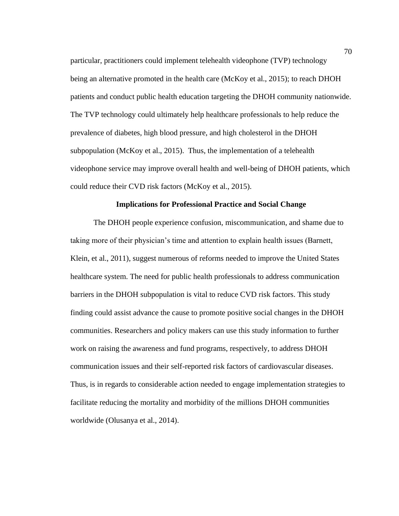particular, practitioners could implement telehealth videophone (TVP) technology being an alternative promoted in the health care (McKoy et al., 2015); to reach DHOH patients and conduct public health education targeting the DHOH community nationwide. The TVP technology could ultimately help healthcare professionals to help reduce the prevalence of diabetes, high blood pressure, and high cholesterol in the DHOH subpopulation (McKoy et al., 2015). Thus, the implementation of a telehealth videophone service may improve overall health and well-being of DHOH patients, which could reduce their CVD risk factors (McKoy et al., 2015).

## **Implications for Professional Practice and Social Change**

The DHOH people experience confusion, miscommunication, and shame due to taking more of their physician's time and attention to explain health issues (Barnett, Klein, et al., 2011), suggest numerous of reforms needed to improve the United States healthcare system. The need for public health professionals to address communication barriers in the DHOH subpopulation is vital to reduce CVD risk factors. This study finding could assist advance the cause to promote positive social changes in the DHOH communities. Researchers and policy makers can use this study information to further work on raising the awareness and fund programs, respectively, to address DHOH communication issues and their self-reported risk factors of cardiovascular diseases. Thus, is in regards to considerable action needed to engage implementation strategies to facilitate reducing the mortality and morbidity of the millions DHOH communities worldwide (Olusanya et al., 2014).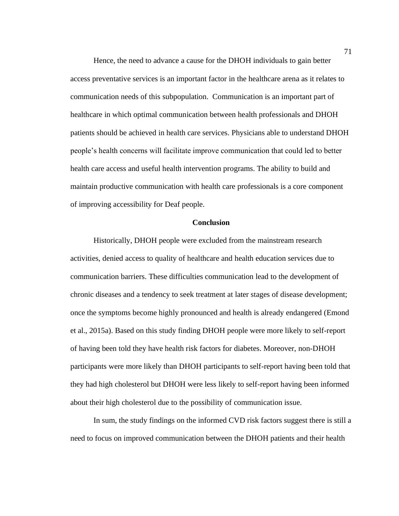Hence, the need to advance a cause for the DHOH individuals to gain better access preventative services is an important factor in the healthcare arena as it relates to communication needs of this subpopulation. Communication is an important part of healthcare in which optimal communication between health professionals and DHOH patients should be achieved in health care services. Physicians able to understand DHOH people's health concerns will facilitate improve communication that could led to better health care access and useful health intervention programs. The ability to build and maintain productive communication with health care professionals is a core component of improving accessibility for Deaf people.

## **Conclusion**

Historically, DHOH people were excluded from the mainstream research activities, denied access to quality of healthcare and health education services due to communication barriers. These difficulties communication lead to the development of chronic diseases and a tendency to seek treatment at later stages of disease development; once the symptoms become highly pronounced and health is already endangered (Emond et al., 2015a). Based on this study finding DHOH people were more likely to self-report of having been told they have health risk factors for diabetes. Moreover, non-DHOH participants were more likely than DHOH participants to self-report having been told that they had high cholesterol but DHOH were less likely to self-report having been informed about their high cholesterol due to the possibility of communication issue.

In sum, the study findings on the informed CVD risk factors suggest there is still a need to focus on improved communication between the DHOH patients and their health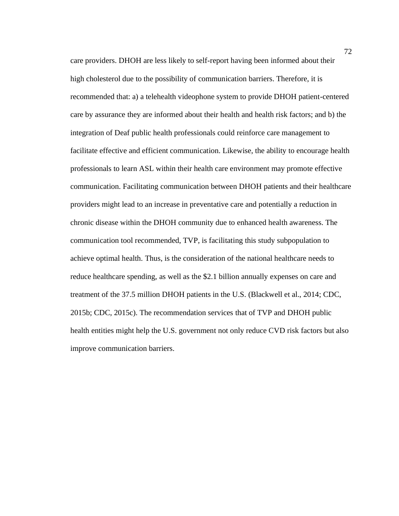care providers. DHOH are less likely to self-report having been informed about their high cholesterol due to the possibility of communication barriers. Therefore, it is recommended that: a) a telehealth videophone system to provide DHOH patient-centered care by assurance they are informed about their health and health risk factors; and b) the integration of Deaf public health professionals could reinforce care management to facilitate effective and efficient communication. Likewise, the ability to encourage health professionals to learn ASL within their health care environment may promote effective communication. Facilitating communication between DHOH patients and their healthcare providers might lead to an increase in preventative care and potentially a reduction in chronic disease within the DHOH community due to enhanced health awareness. The communication tool recommended, TVP, is facilitating this study subpopulation to achieve optimal health. Thus, is the consideration of the national healthcare needs to reduce healthcare spending, as well as the \$2.1 billion annually expenses on care and treatment of the 37.5 million DHOH patients in the U.S. (Blackwell et al., 2014; CDC, 2015b; CDC, 2015c). The recommendation services that of TVP and DHOH public health entities might help the U.S. government not only reduce CVD risk factors but also improve communication barriers.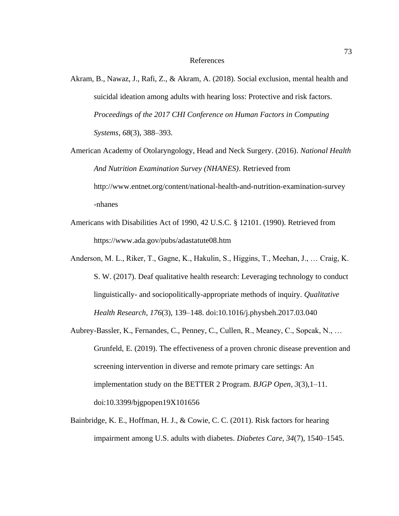- Akram, B., Nawaz, J., Rafi, Z., & Akram, A. (2018). Social exclusion, mental health and suicidal ideation among adults with hearing loss: Protective and risk factors. *Proceedings of the 2017 CHI Conference on Human Factors in Computing Systems*, *68*(3), 388–393.
- American Academy of Otolaryngology, Head and Neck Surgery. (2016). *National Health And Nutrition Examination Survey (NHANES)*. Retrieved from http://www.entnet.org/content/national-health-and-nutrition-examination-survey -nhanes
- Americans with Disabilities Act of 1990, 42 U.S.C. § 12101. (1990). Retrieved from https://www.ada.gov/pubs/adastatute08.htm
- Anderson, M. L., Riker, T., Gagne, K., Hakulin, S., Higgins, T., Meehan, J., … Craig, K. S. W. (2017). Deaf qualitative health research: Leveraging technology to conduct linguistically- and sociopolitically-appropriate methods of inquiry. *Qualitative Health Research*, *176*(3), 139–148. doi:10.1016/j.physbeh.2017.03.040
- Aubrey-Bassler, K., Fernandes, C., Penney, C., Cullen, R., Meaney, C., Sopcak, N., … Grunfeld, E. (2019). The effectiveness of a proven chronic disease prevention and screening intervention in diverse and remote primary care settings: An implementation study on the BETTER 2 Program. *BJGP Open*, *3*(3),1–11. doi:10.3399/bjgpopen19X101656
- Bainbridge, K. E., Hoffman, H. J., & Cowie, C. C. (2011). Risk factors for hearing impairment among U.S. adults with diabetes. *Diabetes Care, 34*(7), 1540–1545.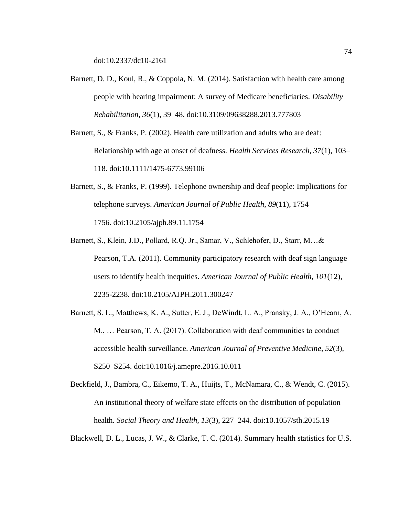doi:10.2337/dc10-2161

- Barnett, D. D., Koul, R., & Coppola, N. M. (2014). Satisfaction with health care among people with hearing impairment: A survey of Medicare beneficiaries. *Disability Rehabilitation, 36*(1), 39–48. doi:10.3109/09638288.2013.777803
- Barnett, S., & Franks, P. (2002). Health care utilization and adults who are deaf: Relationship with age at onset of deafness. *Health Services Research, 37*(1), 103– 118. doi:10.1111/1475-6773.99106
- Barnett, S., & Franks, P. (1999). Telephone ownership and deaf people: Implications for telephone surveys. *American Journal of Public Health*, *89*(11), 1754– 1756. doi:10.2105/ajph.89.11.1754
- Barnett, S., Klein, J.D., Pollard, R.Q. Jr., Samar, V., Schlehofer, D., Starr, M…& Pearson, T.A. (2011). Community participatory research with deaf sign language users to identify health inequities. *American Journal of Public Health, 101*(12), 2235-2238. doi:10.2105/AJPH.2011.300247
- Barnett, S. L., Matthews, K. A., Sutter, E. J., DeWindt, L. A., Pransky, J. A., O'Hearn, A. M., … Pearson, T. A. (2017). Collaboration with deaf communities to conduct accessible health surveillance. *American Journal of Preventive Medicine*, *52*(3), S250–S254. doi:10.1016/j.amepre.2016.10.011
- Beckfield, J., Bambra, C., Eikemo, T. A., Huijts, T., McNamara, C., & Wendt, C. (2015). An institutional theory of welfare state effects on the distribution of population health. *Social Theory and Health, 13*(3), 227–244. doi:10.1057/sth.2015.19

Blackwell, D. L., Lucas, J. W., & Clarke, T. C. (2014). Summary health statistics for U.S.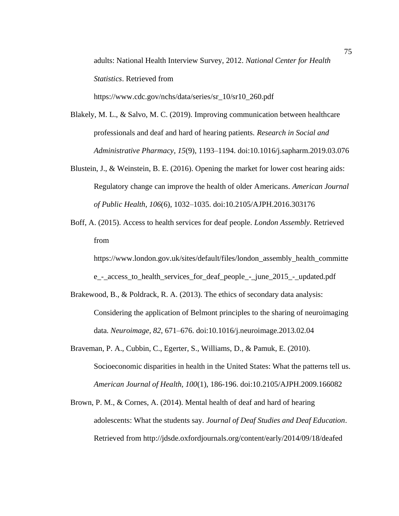adults: National Health Interview Survey, 2012. *National Center for Health Statistics*. Retrieved from

https://www.cdc.gov/nchs/data/series/sr\_10/sr10\_260.pdf

- Blakely, M. L., & Salvo, M. C. (2019). Improving communication between healthcare professionals and deaf and hard of hearing patients. *Research in Social and Administrative Pharmacy*, *15*(9), 1193–1194. doi:10.1016/j.sapharm.2019.03.076
- Blustein, J., & Weinstein, B. E. (2016). Opening the market for lower cost hearing aids: Regulatory change can improve the health of older Americans. *American Journal of Public Health*, *106*(6), 1032–1035. doi:10.2105/AJPH.2016.303176
- Boff, A. (2015). Access to health services for deaf people. *London Assembly*. Retrieved from

https://www.london.gov.uk/sites/default/files/london\_assembly\_health\_committe

e\_-\_access\_to\_health\_services\_for\_deaf\_people\_-\_june\_2015\_-\_updated.pdf

- Brakewood, B., & Poldrack, R. A. (2013). The ethics of secondary data analysis: Considering the application of Belmont principles to the sharing of neuroimaging data. *Neuroimage, 82*, 671–676. doi:10.1016/j.neuroimage.2013.02.04
- Braveman, P. A., Cubbin, C., Egerter, S., Williams, D., & Pamuk, E. (2010). Socioeconomic disparities in health in the United States: What the patterns tell us. *American Journal of Health, 100*(1), 186-196. doi:10.2105/AJPH.2009.166082
- Brown, P. M., & Cornes, A. (2014). Mental health of deaf and hard of hearing adolescents: What the students say. *Journal of Deaf Studies and Deaf Education*. Retrieved from http://jdsde.oxfordjournals.org/content/early/2014/09/18/deafed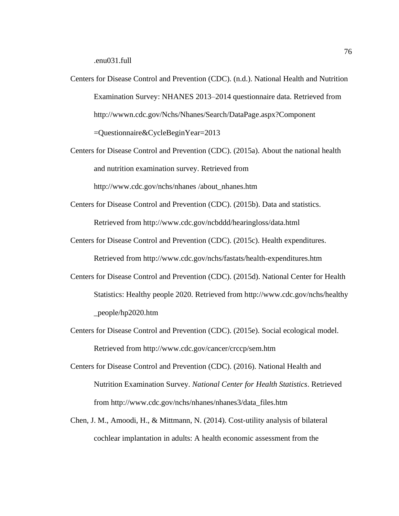.enu031.full

- Centers for Disease Control and Prevention (CDC). (n.d.). National Health and Nutrition Examination Survey: NHANES 2013–2014 questionnaire data. Retrieved from http://wwwn.cdc.gov/Nchs/Nhanes/Search/DataPage.aspx?Component =Questionnaire&CycleBeginYear=2013
- Centers for Disease Control and Prevention (CDC). (2015a). About the national health and nutrition examination survey. Retrieved from

http://www.cdc.gov/nchs/nhanes /about\_nhanes.htm

- Centers for Disease Control and Prevention (CDC). (2015b). Data and statistics. Retrieved from http://www.cdc.gov/ncbddd/hearingloss/data.html
- Centers for Disease Control and Prevention (CDC). (2015c). Health expenditures. Retrieved from http://www.cdc.gov/nchs/fastats/health-expenditures.htm
- Centers for Disease Control and Prevention (CDC). (2015d). National Center for Health Statistics: Healthy people 2020. Retrieved from http://www.cdc.gov/nchs/healthy \_people/hp2020.htm
- Centers for Disease Control and Prevention (CDC). (2015e). Social ecological model. Retrieved from http://www.cdc.gov/cancer/crccp/sem.htm
- Centers for Disease Control and Prevention (CDC). (2016). National Health and Nutrition Examination Survey. *National Center for Health Statistics*. Retrieved from http://www.cdc.gov/nchs/nhanes/nhanes3/data\_files.htm
- Chen, J. M., Amoodi, H., & Mittmann, N. (2014). Cost-utility analysis of bilateral cochlear implantation in adults: A health economic assessment from the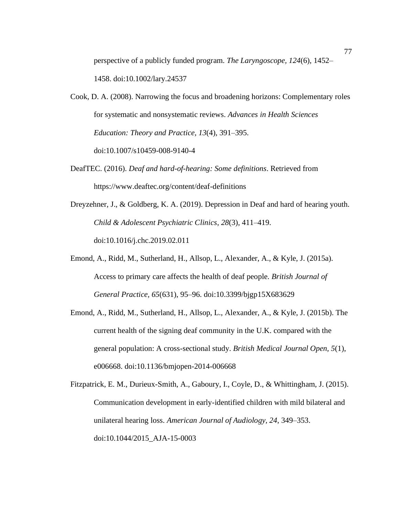perspective of a publicly funded program. *The Laryngoscope, 124*(6), 1452– 1458. doi:10.1002/lary.24537

Cook, D. A. (2008). Narrowing the focus and broadening horizons: Complementary roles for systematic and nonsystematic reviews. *Advances in Health Sciences Education: Theory and Practice, 13*(4), 391–395. doi:10.1007/s10459-008-9140-4

DeafTEC. (2016). *Deaf and hard-of-hearing: Some definitions*. Retrieved from https://www.deaftec.org/content/deaf-definitions

Dreyzehner, J., & Goldberg, K. A. (2019). Depression in Deaf and hard of hearing youth. *Child & Adolescent Psychiatric Clinics*, *28*(3), 411–419. doi:10.1016/j.chc.2019.02.011

- Emond, A., Ridd, M., Sutherland, H., Allsop, L., Alexander, A., & Kyle, J. (2015a). Access to primary care affects the health of deaf people. *British Journal of General Practice, 65*(631), 95–96. doi:10.3399/bjgp15X683629
- Emond, A., Ridd, M., Sutherland, H., Allsop, L., Alexander, A., & Kyle, J. (2015b). The current health of the signing deaf community in the U.K. compared with the general population: A cross-sectional study. *British Medical Journal Open, 5*(1), e006668. doi:10.1136/bmjopen-2014-006668

Fitzpatrick, E. M., Durieux-Smith, A., Gaboury, I., Coyle, D., & Whittingham, J. (2015). Communication development in early-identified children with mild bilateral and unilateral hearing loss. *American Journal of Audiology, 24*, 349–353. doi:10.1044/2015\_AJA-15-0003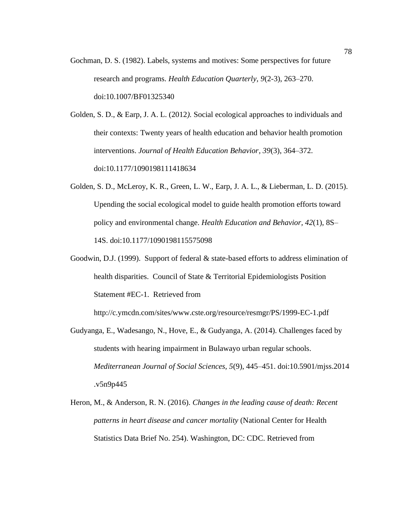Gochman, D. S. (1982). Labels, systems and motives: Some perspectives for future research and programs. *Health Education Quarterly, 9*(2-3), 263–270. doi:10.1007/BF01325340

Golden, S. D., & Earp, J. A. L. (2012*).* Social ecological approaches to individuals and their contexts: Twenty years of health education and behavior health promotion interventions. *Journal of Health Education Behavior, 39*(3), 364–372. doi:10.1177/1090198111418634

- Golden, S. D., McLeroy, K. R., Green, L. W., Earp, J. A. L., & Lieberman, L. D. (2015). Upending the social ecological model to guide health promotion efforts toward policy and environmental change. *Health Education and Behavior, 42*(1), 8S– 14S. doi:10.1177/1090198115575098
- Goodwin, D.J. (1999). Support of federal & state-based efforts to address elimination of health disparities. Council of State & Territorial Epidemiologists Position Statement #EC-1. Retrieved from

http://c.ymcdn.com/sites/www.cste.org/resource/resmgr/PS/1999-EC-1.pdf

- Gudyanga, E., Wadesango, N., Hove, E., & Gudyanga, A. (2014). Challenges faced by students with hearing impairment in Bulawayo urban regular schools. *Mediterranean Journal of Social Sciences, 5*(9), 445–451. doi:10.5901/mjss.2014 .v5n9p445
- Heron, M., & Anderson, R. N. (2016). *Changes in the leading cause of death: Recent patterns in heart disease and cancer mortality* (National Center for Health Statistics Data Brief No. 254). Washington, DC: CDC. Retrieved from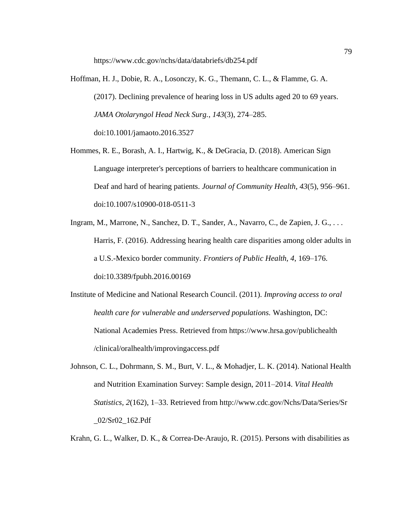https://www.cdc.gov/nchs/data/databriefs/db254.pdf

- Hoffman, H. J., Dobie, R. A., Losonczy, K. G., Themann, C. L., & Flamme, G. A. (2017). Declining prevalence of hearing loss in US adults aged 20 to 69 years. *JAMA Otolaryngol Head Neck Surg.*, *143*(3), 274–285. doi:10.1001/jamaoto.2016.3527
- Hommes, R. E., Borash, A. I., Hartwig, K., & DeGracia, D. (2018). American Sign Language interpreter's perceptions of barriers to healthcare communication in Deaf and hard of hearing patients. *Journal of Community Health*, *43*(5), 956–961. doi:10.1007/s10900-018-0511-3
- Ingram, M., Marrone, N., Sanchez, D. T., Sander, A., Navarro, C., de Zapien, J. G., . . . Harris, F. (2016). Addressing hearing health care disparities among older adults in a U.S.-Mexico border community. *Frontiers of Public Health, 4*, 169–176. doi:10.3389/fpubh.2016.00169
- Institute of Medicine and National Research Council. (2011). *Improving access to oral health care for vulnerable and underserved populations.* Washington, DC: National Academies Press. Retrieved from https://www.hrsa.gov/publichealth /clinical/oralhealth/improvingaccess.pdf
- Johnson, C. L., Dohrmann, S. M., Burt, V. L., & Mohadjer, L. K. (2014). National Health and Nutrition Examination Survey: Sample design, 2011–2014. *Vital Health Statistics, 2*(162), 1–33. Retrieved from http://www.cdc.gov/Nchs/Data/Series/Sr \_02/Sr02\_162.Pdf

Krahn, G. L., Walker, D. K., & Correa-De-Araujo, R. (2015). Persons with disabilities as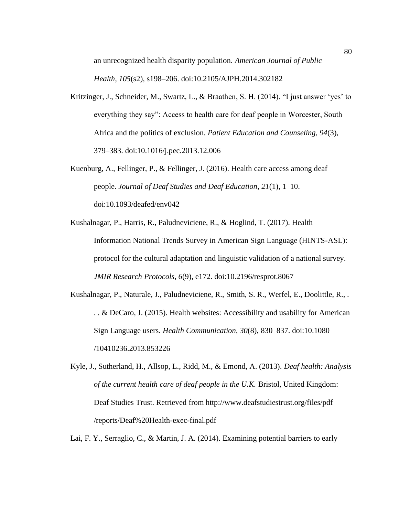an unrecognized health disparity population. *American Journal of Public* 

*Health, 105*(s2), s198–206. doi:10.2105/AJPH.2014.302182

- Kritzinger, J., Schneider, M., Swartz, L., & Braathen, S. H. (2014). "I just answer 'yes' to everything they say": Access to health care for deaf people in Worcester, South Africa and the politics of exclusion. *Patient Education and Counseling, 94*(3), 379–383. doi:10.1016/j.pec.2013.12.006
- Kuenburg, A., Fellinger, P., & Fellinger, J. (2016). Health care access among deaf people. *Journal of Deaf Studies and Deaf Education*, *21*(1), 1–10. doi:10.1093/deafed/env042
- Kushalnagar, P., Harris, R., Paludneviciene, R., & Hoglind, T. (2017). Health Information National Trends Survey in American Sign Language (HINTS-ASL): protocol for the cultural adaptation and linguistic validation of a national survey. *JMIR Research Protocols*, *6*(9), e172. doi:10.2196/resprot.8067
- Kushalnagar, P., Naturale, J., Paludneviciene, R., Smith, S. R., Werfel, E., Doolittle, R., . . . & DeCaro, J. (2015). Health websites: Accessibility and usability for American Sign Language users. *Health Communication, 30*(8), 830–837. doi:10.1080 /10410236.2013.853226
- Kyle, J., Sutherland, H., Allsop, L., Ridd, M., & Emond, A. (2013). *Deaf health: Analysis of the current health care of deaf people in the U.K.* Bristol, United Kingdom: Deaf Studies Trust. Retrieved from http://www.deafstudiestrust.org/files/pdf /reports/Deaf%20Health-exec-final.pdf

Lai, F. Y., Serraglio, C., & Martin, J. A. (2014). Examining potential barriers to early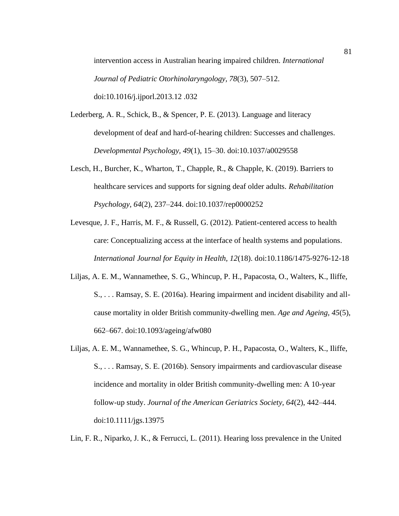intervention access in Australian hearing impaired children. *International Journal of Pediatric Otorhinolaryngology, 78*(3), 507–512. doi:10.1016/j.ijporl.2013.12 .032

- Lederberg, A. R., Schick, B., & Spencer, P. E. (2013). Language and literacy development of deaf and hard-of-hearing children: Successes and challenges. *Developmental Psychology, 49*(1), 15–30. doi:10.1037/a0029558
- Lesch, H., Burcher, K., Wharton, T., Chapple, R., & Chapple, K. (2019). Barriers to healthcare services and supports for signing deaf older adults. *Rehabilitation Psychology*, *64*(2), 237–244. doi:10.1037/rep0000252
- Levesque, J. F., Harris, M. F., & Russell, G. (2012). Patient-centered access to health care: Conceptualizing access at the interface of health systems and populations. *International Journal for Equity in Health, 12*(18). doi:10.1186/1475-9276-12-18
- Liljas, A. E. M., Wannamethee, S. G., Whincup, P. H., Papacosta, O., Walters, K., Iliffe, S., . . . Ramsay, S. E. (2016a). Hearing impairment and incident disability and allcause mortality in older British community-dwelling men. *Age and Ageing, 45*(5), 662–667. doi:10.1093/ageing/afw080
- Liljas, A. E. M., Wannamethee, S. G., Whincup, P. H., Papacosta, O., Walters, K., Iliffe, S., . . . Ramsay, S. E. (2016b). Sensory impairments and cardiovascular disease incidence and mortality in older British community-dwelling men: A 10-year follow-up study. *Journal of the American Geriatrics Society, 64*(2), 442–444. doi:10.1111/jgs.13975

Lin, F. R., Niparko, J. K., & Ferrucci, L. (2011). Hearing loss prevalence in the United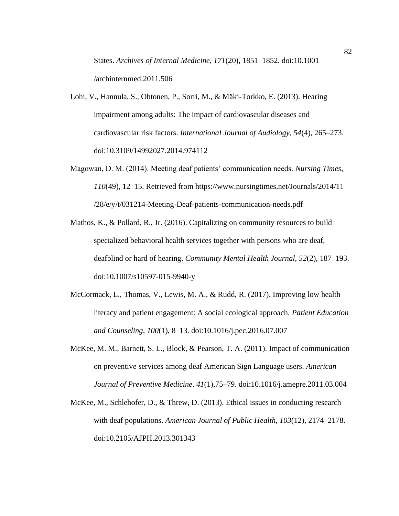States. *Archives of Internal Medicine, 171*(20), 1851–1852. doi:10.1001 /archinternmed.2011.506

- Lohi, V., Hannula, S., Ohtonen, P., Sorri, M., & Mäki-Torkko, E. (2013). Hearing impairment among adults: The impact of cardiovascular diseases and cardiovascular risk factors. *International Journal of Audiology, 54*(4), 265–273. doi:10.3109/14992027.2014.974112
- Magowan, D. M. (2014). Meeting deaf patients' communication needs. *Nursing Times, 110*(49), 12–15. Retrieved from https://www.nursingtimes.net/Journals/2014/11 /28/e/y/t/031214-Meeting-Deaf-patients-communication-needs.pdf
- Mathos, K., & Pollard, R., Jr. (2016). Capitalizing on community resources to build specialized behavioral health services together with persons who are deaf, deafblind or hard of hearing. *Community Mental Health Journal, 52*(2), 187–193. doi:10.1007/s10597-015-9940-y
- McCormack, L., Thomas, V., Lewis, M. A., & Rudd, R. (2017). Improving low health literacy and patient engagement: A social ecological approach. *Patient Education and Counseling*, *100*(1), 8–13. doi:10.1016/j.pec.2016.07.007
- McKee, M. M., Barnett, S. L., Block, & Pearson, T. A. (2011). Impact of communication on preventive services among deaf American Sign Language users. *American Journal of Preventive Medicine*. *41*(1),75–79. doi:10.1016/j.amepre.2011.03.004
- McKee, M., Schlehofer, D., & Threw, D. (2013). Ethical issues in conducting research with deaf populations. *American Journal of Public Health, 103*(12), 2174–2178. doi:10.2105/AJPH.2013.301343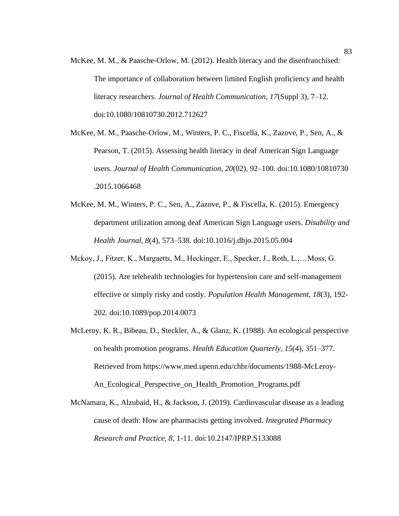- McKee, M. M., & Paasche-Orlow, M. (2012). Health literacy and the disenfranchised: The importance of collaboration between limited English proficiency and health literacy researchers. *Journal of Health Communication, 17*(Suppl 3), 7–12. doi:10.1080/10810730.2012.712627
- McKee, M. M., Paasche-Orlow, M., Winters, P. C., Fiscella, K., Zazove, P., Sen, A., & Pearson, T. (2015). Assessing health literacy in deaf American Sign Language users. *Journal of Health Communication, 20*(02), 92–100. doi:10.1080/10810730 .2015.1066468
- McKee, M. M., Winters, P. C., Sen, A., Zazove, P., & Fiscella, K. (2015). Emergency department utilization among deaf American Sign Language users. *Disability and Health Journal, 8*(4), 573–538. doi:10.1016/j.dhjo.2015.05.004
- Mckoy, J., Fitzer, K., Margaetts, M., Heckinger, E., Specker, J., Roth, L.,…Moss, G. (2015). Are telehealth technologies for hypertension care and self-management effective or simply risky and costly. *Population Health Management, 18*(3), 192- 202. doi:10.1089/pop.2014.0073
- McLeroy, K. R., Bibeau, D., Steckler, A., & Glanz, K. (1988). An ecological perspective on health promotion programs. *Health Education Quarterly, 15*(4), 351–377. Retrieved from https://www.med.upenn.edu/chbr/documents/1988-McLeroy-An Ecological Perspective on Health Promotion Programs.pdf
- McNamara, K., Alzubaid, H., & Jackson, J. (2019). Cardiovascular disease as a leading cause of death: How are pharmacists getting involved. *Integrated Pharmacy Research and Practice, 8*, 1-11. doi:10.2147/IPRP.S133088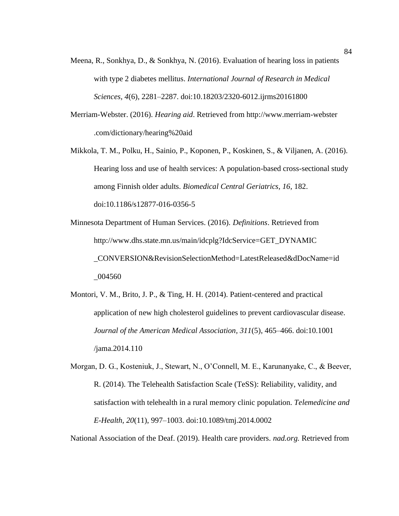- Meena, R., Sonkhya, D., & Sonkhya, N. (2016). Evaluation of hearing loss in patients with type 2 diabetes mellitus. *International Journal of Research in Medical Sciences, 4*(6), 2281–2287. doi:10.18203/2320-6012.ijrms20161800
- Merriam-Webster. (2016). *Hearing aid*. Retrieved from http://www.merriam-webster .com/dictionary/hearing%20aid
- Mikkola, T. M., Polku, H., Sainio, P., Koponen, P., Koskinen, S., & Viljanen, A. (2016). Hearing loss and use of health services: A population-based cross-sectional study among Finnish older adults. *Biomedical Central Geriatrics, 16*, 182. doi:10.1186/s12877-016-0356-5
- Minnesota Department of Human Services. (2016). *Definitions*. Retrieved from http://www.dhs.state.mn.us/main/idcplg?IdcService=GET\_DYNAMIC \_CONVERSION&RevisionSelectionMethod=LatestReleased&dDocName=id \_004560
- Montori, V. M., Brito, J. P., & Ting, H. H. (2014). Patient-centered and practical application of new high cholesterol guidelines to prevent cardiovascular disease. *Journal of the American Medical Association, 311*(5), 465–466. doi:10.1001 /jama.2014.110
- Morgan, D. G., Kosteniuk, J., Stewart, N., O'Connell, M. E., Karunanyake, C., & Beever, R. (2014). The Telehealth Satisfaction Scale (TeSS): Reliability, validity, and satisfaction with telehealth in a rural memory clinic population. *Telemedicine and E-Health, 20*(11), 997–1003. doi:10.1089/tmj.2014.0002

National Association of the Deaf. (2019). Health care providers. *nad.org.* Retrieved from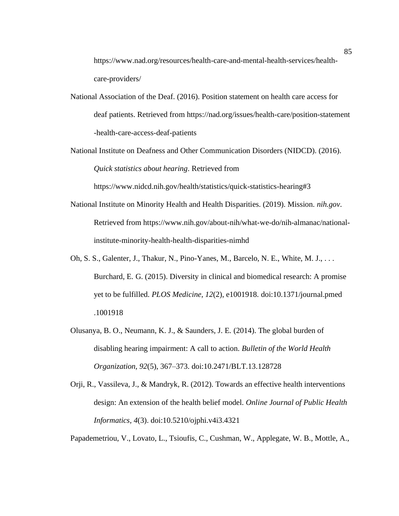https://www.nad.org/resources/health-care-and-mental-health-services/healthcare-providers/

- National Association of the Deaf. (2016). Position statement on health care access for deaf patients. Retrieved from https://nad.org/issues/health-care/position-statement -health-care-access-deaf-patients
- National Institute on Deafness and Other Communication Disorders (NIDCD). (2016). *Quick statistics about hearing*. Retrieved from

https://www.nidcd.nih.gov/health/statistics/quick-statistics-hearing#3

- National Institute on Minority Health and Health Disparities. (2019). Mission. *nih.gov*. Retrieved from https://www.nih.gov/about-nih/what-we-do/nih-almanac/nationalinstitute-minority-health-health-disparities-nimhd
- Oh, S. S., Galenter, J., Thakur, N., Pino-Yanes, M., Barcelo, N. E., White, M. J., . . . Burchard, E. G. (2015). Diversity in clinical and biomedical research: A promise yet to be fulfilled. *PLOS Medicine, 12*(2), e1001918. doi:10.1371/journal.pmed .1001918
- Olusanya, B. O., Neumann, K. J., & Saunders, J. E. (2014). The global burden of disabling hearing impairment: A call to action. *Bulletin of the World Health Organization, 92*(5), 367–373. doi:10.2471/BLT.13.128728
- Orji, R., Vassileva, J., & Mandryk, R. (2012). Towards an effective health interventions design: An extension of the health belief model. *Online Journal of Public Health Informatics, 4*(3). doi:10.5210/ojphi.v4i3.4321

Papademetriou, V., Lovato, L., Tsioufis, C., Cushman, W., Applegate, W. B., Mottle, A.,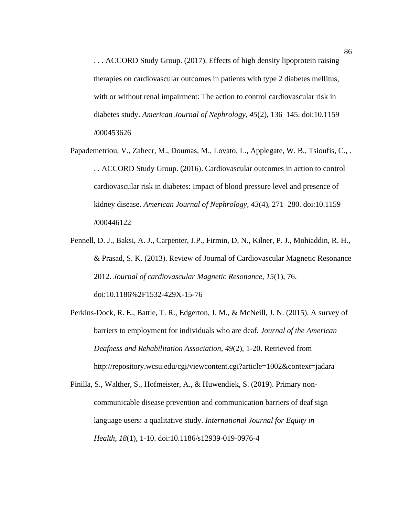. . . ACCORD Study Group. (2017). Effects of high density lipoprotein raising therapies on cardiovascular outcomes in patients with type 2 diabetes mellitus, with or without renal impairment: The action to control cardiovascular risk in diabetes study. *American Journal of Nephrology, 45*(2), 136–145. doi:10.1159 /000453626

- Papademetriou, V., Zaheer, M., Doumas, M., Lovato, L., Applegate, W. B., Tsioufis, C., . . . ACCORD Study Group. (2016). Cardiovascular outcomes in action to control cardiovascular risk in diabetes: Impact of blood pressure level and presence of kidney disease. *American Journal of Nephrology, 43*(4), 271–280. doi:10.1159 /000446122
- Pennell, D. J., Baksi, A. J., Carpenter, J.P., Firmin, D, N., Kilner, P. J., Mohiaddin, R. H., & Prasad, S. K. (2013). Review of Journal of Cardiovascular Magnetic Resonance 2012. *Journal of cardiovascular Magnetic Resonance, 15*(1), 76. doi:10.1186%2F1532-429X-15-76
- Perkins-Dock, R. E., Battle, T. R., Edgerton, J. M., & McNeill, J. N. (2015). A survey of barriers to employment for individuals who are deaf. *Journal of the American Deafness and Rehabilitation Association, 49*(2), 1-20. Retrieved from http://repository.wcsu.edu/cgi/viewcontent.cgi?article=1002&context=jadara
- Pinilla, S., Walther, S., Hofmeister, A., & Huwendiek, S. (2019). Primary noncommunicable disease prevention and communication barriers of deaf sign language users: a qualitative study. *International Journal for Equity in Health*, *18*(1), 1-10. doi:10.1186/s12939-019-0976-4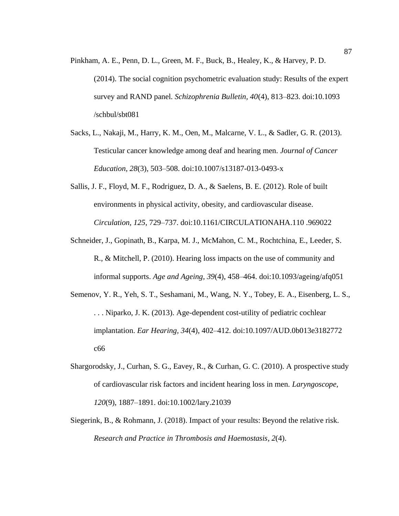- Pinkham, A. E., Penn, D. L., Green, M. F., Buck, B., Healey, K., & Harvey, P. D. (2014). The social cognition psychometric evaluation study: Results of the expert survey and RAND panel. *Schizophrenia Bulletin, 40*(4), 813–823. doi:10.1093 /schbul/sbt081
- Sacks, L., Nakaji, M., Harry, K. M., Oen, M., Malcarne, V. L., & Sadler, G. R. (2013). Testicular cancer knowledge among deaf and hearing men. *Journal of Cancer Education, 28*(3), 503–508. doi:10.1007/s13187-013-0493-x
- Sallis, J. F., Floyd, M. F., Rodriguez, D. A., & Saelens, B. E. (2012). Role of built environments in physical activity, obesity, and cardiovascular disease. *Circulation, 125*, 729–737. doi:10.1161/CIRCULATIONAHA.110 .969022
- Schneider, J., Gopinath, B., Karpa, M. J., McMahon, C. M., Rochtchina, E., Leeder, S. R., & Mitchell, P. (2010). Hearing loss impacts on the use of community and informal supports. *Age and Ageing, 39*(4), 458–464. doi:10.1093/ageing/afq051
- Semenov, Y. R., Yeh, S. T., Seshamani, M., Wang, N. Y., Tobey, E. A., Eisenberg, L. S., . . . Niparko, J. K. (2013). Age-dependent cost-utility of pediatric cochlear implantation. *Ear Hearing, 34*(4), 402–412. doi:10.1097/AUD.0b013e3182772 c66
- Shargorodsky, J., Curhan, S. G., Eavey, R., & Curhan, G. C. (2010). A prospective study of cardiovascular risk factors and incident hearing loss in men. *Laryngoscope, 120*(9), 1887–1891. doi:10.1002/lary.21039
- Siegerink, B., & Rohmann, J. (2018). Impact of your results: Beyond the relative risk. *Research and Practice in Thrombosis and Haemostasis, 2*(4).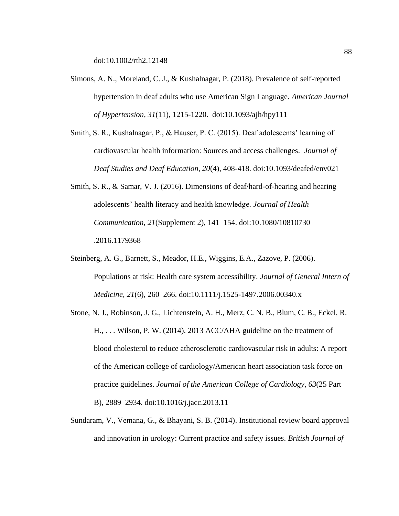doi:10.1002/rth2.12148

- Simons, A. N., Moreland, C. J., & Kushalnagar, P. (2018). Prevalence of self-reported hypertension in deaf adults who use American Sign Language. *American Journal of Hypertension, 31*(11), 1215-1220. doi:10.1093/ajh/hpy111
- Smith, S. R., Kushalnagar, P., & Hauser, P. C. (2015). Deaf adolescents' learning of cardiovascular health information: Sources and access challenges. *Journal of Deaf Studies and Deaf Education, 20*(4), 408-418. doi:10.1093/deafed/env021
- Smith, S. R., & Samar, V. J. (2016). Dimensions of deaf/hard-of-hearing and hearing adolescents' health literacy and health knowledge. *Journal of Health Communication, 21*(Supplement 2), 141–154. doi:10.1080/10810730 .2016.1179368
- Steinberg, A. G., Barnett, S., Meador, H.E., Wiggins, E.A., Zazove, P. (2006). Populations at risk: Health care system accessibility. *Journal of General Intern of Medicine, 21*(6), 260–266. doi:10.1111/j.1525-1497.2006.00340.x
- Stone, N. J., Robinson, J. G., Lichtenstein, A. H., Merz, C. N. B., Blum, C. B., Eckel, R. H., . . . Wilson, P. W. (2014). 2013 ACC/AHA guideline on the treatment of blood cholesterol to reduce atherosclerotic cardiovascular risk in adults: A report of the American college of cardiology/American heart association task force on practice guidelines. *Journal of the American College of Cardiology, 63*(25 Part B), 2889–2934. doi:10.1016/j.jacc.2013.11
- Sundaram, V., Vemana, G., & Bhayani, S. B. (2014). Institutional review board approval and innovation in urology: Current practice and safety issues. *British Journal of*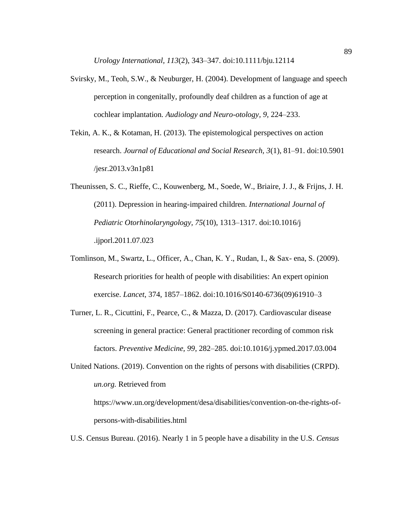*Urology International, 113*(2), 343–347. doi:10.1111/bju.12114

- Svirsky, M., Teoh, S.W., & Neuburger, H. (2004). Development of language and speech perception in congenitally, profoundly deaf children as a function of age at cochlear implantation*. Audiology and Neuro-otology, 9,* 224–233.
- Tekin, A. K., & Kotaman, H. (2013). The epistemological perspectives on action research. *Journal of Educational and Social Research, 3*(1), 81–91. doi:10.5901 /jesr.2013.v3n1p81
- Theunissen, S. C., Rieffe, C., Kouwenberg, M., Soede, W., Briaire, J. J., & Frijns, J. H. (2011). Depression in hearing-impaired children. *International Journal of Pediatric Otorhinolaryngology, 75*(10), 1313–1317. doi:10.1016/j .ijporl.2011.07.023
- Tomlinson, M., Swartz, L., Officer, A., Chan, K. Y., Rudan, I., & Sax- ena, S. (2009). Research priorities for health of people with disabilities: An expert opinion exercise. *Lancet*, 374, 1857–1862. doi:10.1016/S0140-6736(09)61910–3
- Turner, L. R., Cicuttini, F., Pearce, C., & Mazza, D. (2017). Cardiovascular disease screening in general practice: General practitioner recording of common risk factors. *Preventive Medicine, 99*, 282–285. doi:10.1016/j.ypmed.2017.03.004
- United Nations. (2019). Convention on the rights of persons with disabilities (CRPD). *un.org.* Retrieved from https://www.un.org/development/desa/disabilities/convention-on-the-rights-ofpersons-with-disabilities.html
- U.S. Census Bureau. (2016). Nearly 1 in 5 people have a disability in the U.S. *Census*